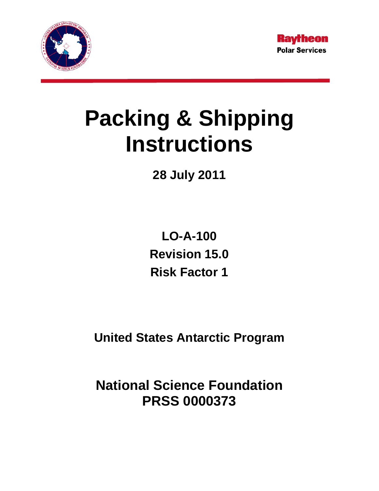



# **Packing & Shipping Instructions**

**28 July 2011** 

**LO-A-100 Revision 15.0 Risk Factor 1** 

**United States Antarctic Program** 

**National Science Foundation PRSS 0000373**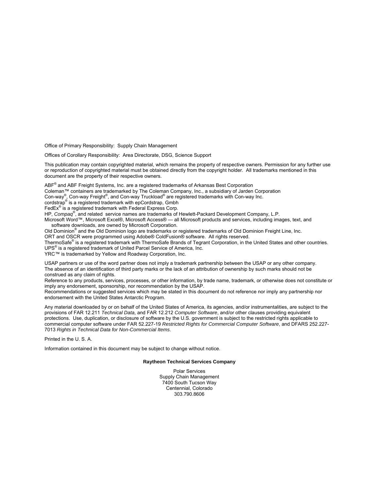Office of Primary Responsibility: Supply Chain Management

Offices of Corollary Responsibility: Area Directorate, DSG, Science Support

This publication may contain copyrighted material, which remains the property of respective owners. Permission for any further use or reproduction of copyrighted material must be obtained directly from the copyright holder. All trademarks mentioned in this document are the property of their respective owners.

ABF<sup>®</sup> and ABF Freight Systems, Inc. are a registered trademarks of Arkansas Best Corporation

Coleman™ containers are trademarked by The Coleman Company, Inc., a subsidiary of Jarden Corporation

Con-way® , Con-way Freight® , and Con-way Truckload® are registered trademarks with Con-way Inc. cordstrap® is a registered trademark with epCordstrap, Gmbh

FedEx<sup>®</sup> is a registered trademark with Federal Express Corp.

HP, *Compaq*® , and related service names are trademarks of Hewlett-Packard Development Company, L.P.

Microsoft Word™, Microsoft Excel®, Microsoft Access® — all Microsoft products and services, including images, text, and software downloads, are owned by Microsoft Corporation.

Old Dominion<sup>®</sup> and the Old Dominion logo are trademarks or registered trademarks of Old Dominion Freight Line, Inc. ORT and OSCR were programmed using Adobe® ColdFusion® software. All rights reserved.

ThermoSafe® is a registered trademark with ThermoSafe Brands of Tegrant Corporation, in the United States and other countries.

UPS® is a registered trademark of United Parcel Service of America, Inc.

YRC™ is trademarked by Yellow and Roadway Corporation, Inc.

USAP partners or use of the word partner does not imply a trademark partnership between the USAP or any other company. The absence of an identification of third party marks or the lack of an attribution of ownership by such marks should not be construed as any claim of rights.

Reference to any products, services, processes, or other information, by trade name, trademark, or otherwise does not constitute or imply any endorsement, sponsorship, nor recommendation by the USAP.

Recommendations or suggested services which may be stated in this document do not reference nor imply any partnership nor endorsement with the United States Antarctic Program.

Any material downloaded by or on behalf of the United States of America, its agencies, and/or instrumentalities, are subject to the provisions of FAR 12.211 *Technical Data*, and FAR 12.212 *Computer Software*, and/or other clauses providing equivalent protections. Use, duplication, or disclosure of software by the U.S. government is subject to the restricted rights applicable to commercial computer software under FAR 52.227-19 *Restricted Rights for Commercial Computer Software*, and DFARS 252.227- 7013 *Rights in Technical Data for Non-Commercial Items*.

Printed in the U. S. A.

Information contained in this document may be subject to change without notice.

#### **Raytheon Technical Services Company**

Polar Services Supply Chain Management 7400 South Tucson Way Centennial, Colorado 303.790.8606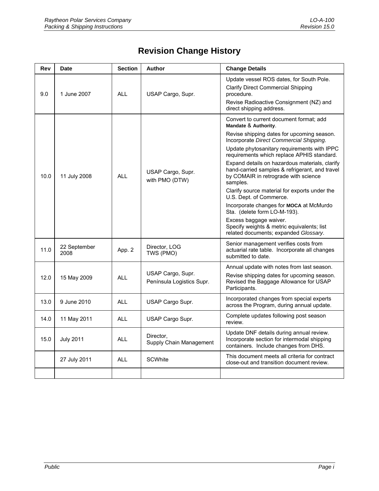# **Revision Change History**

| Rev  | Date                 | <b>Section</b> | <b>Author</b>                                  | <b>Change Details</b>                                                                                                                                                                                                                                                                                                                                                                                                                                                                                                                                                                                                                                                                 |
|------|----------------------|----------------|------------------------------------------------|---------------------------------------------------------------------------------------------------------------------------------------------------------------------------------------------------------------------------------------------------------------------------------------------------------------------------------------------------------------------------------------------------------------------------------------------------------------------------------------------------------------------------------------------------------------------------------------------------------------------------------------------------------------------------------------|
| 9.0  | 1 June 2007          | <b>ALL</b>     | USAP Cargo, Supr.                              | Update vessel ROS dates, for South Pole.<br><b>Clarify Direct Commercial Shipping</b><br>procedure.<br>Revise Radioactive Consignment (NZ) and<br>direct shipping address.                                                                                                                                                                                                                                                                                                                                                                                                                                                                                                            |
| 10.0 | 11 July 2008         | <b>ALL</b>     | USAP Cargo, Supr.<br>with PMO (DTW)            | Convert to current document format; add<br>Mandate & Authority.<br>Revise shipping dates for upcoming season.<br>Incorporate Direct Commercial Shipping.<br>Update phytosanitary requirements with IPPC<br>requirements which replace APHIS standard.<br>Expand details on hazardous materials, clarify<br>hand-carried samples & refrigerant, and travel<br>by COMAIR in retrograde with science<br>samples.<br>Clarify source material for exports under the<br>U.S. Dept. of Commerce.<br>Incorporate changes for MOCA at McMurdo<br>Sta. (delete form LO-M-193).<br>Excess baggage waiver.<br>Specify weights & metric equivalents; list<br>related documents; expanded Glossary. |
| 11.0 | 22 September<br>2008 | App. 2         | Director, LOG<br>TWS (PMO)                     | Senior management verifies costs from<br>actuarial rate table. Incorporate all changes<br>submitted to date.                                                                                                                                                                                                                                                                                                                                                                                                                                                                                                                                                                          |
| 12.0 | 15 May 2009          | <b>ALL</b>     | USAP Cargo, Supr.<br>Península Logistics Supr. | Annual update with notes from last season.<br>Revise shipping dates for upcoming season.<br>Revised the Baggage Allowance for USAP<br>Participants.                                                                                                                                                                                                                                                                                                                                                                                                                                                                                                                                   |
| 13.0 | 9 June 2010          | <b>ALL</b>     | USAP Cargo Supr.                               | Incorporated changes from special experts<br>across the Program, during annual update.                                                                                                                                                                                                                                                                                                                                                                                                                                                                                                                                                                                                |
| 14.0 | 11 May 2011          | <b>ALL</b>     | USAP Cargo Supr.                               | Complete updates following post season<br>review.                                                                                                                                                                                                                                                                                                                                                                                                                                                                                                                                                                                                                                     |
| 15.0 | <b>July 2011</b>     | <b>ALL</b>     | Director.<br>Supply Chain Management           | Update DNF details during annual review.<br>Incorporate section for intermodal shipping<br>containers. Include changes from DHS.                                                                                                                                                                                                                                                                                                                                                                                                                                                                                                                                                      |
|      | 27 July 2011         | <b>ALL</b>     | <b>SCWhite</b>                                 | This document meets all criteria for contract<br>close-out and transition document review.                                                                                                                                                                                                                                                                                                                                                                                                                                                                                                                                                                                            |
|      |                      |                |                                                |                                                                                                                                                                                                                                                                                                                                                                                                                                                                                                                                                                                                                                                                                       |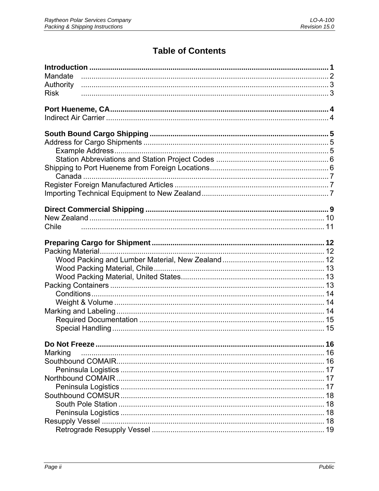# **Table of Contents**

| Mandate     |    |
|-------------|----|
| Authority   |    |
| <b>Risk</b> |    |
|             |    |
|             |    |
|             |    |
|             |    |
|             |    |
|             |    |
|             |    |
|             |    |
|             |    |
|             |    |
|             |    |
|             |    |
|             |    |
|             |    |
| Chile       |    |
|             |    |
|             |    |
|             |    |
|             |    |
|             |    |
|             |    |
|             |    |
|             |    |
|             |    |
|             |    |
|             |    |
|             |    |
|             | 16 |
| Marking     | 16 |
|             |    |
|             |    |
|             | 17 |
|             | 17 |
|             |    |
|             | 18 |
|             | 18 |
|             |    |
|             |    |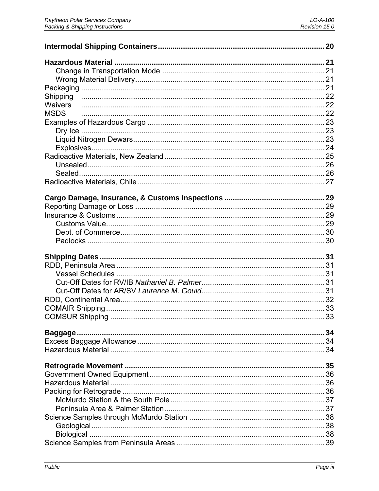| Waivers<br><b>MSDS</b> |  |
|------------------------|--|
|                        |  |
|                        |  |
|                        |  |
|                        |  |
|                        |  |
|                        |  |
|                        |  |
|                        |  |
|                        |  |
|                        |  |
|                        |  |
|                        |  |
|                        |  |
|                        |  |
|                        |  |
|                        |  |
|                        |  |
|                        |  |
|                        |  |
|                        |  |
|                        |  |
|                        |  |
|                        |  |
|                        |  |
|                        |  |
|                        |  |
|                        |  |
|                        |  |
|                        |  |
|                        |  |
|                        |  |
|                        |  |
|                        |  |
|                        |  |
|                        |  |
|                        |  |
|                        |  |
|                        |  |
|                        |  |
|                        |  |
|                        |  |
|                        |  |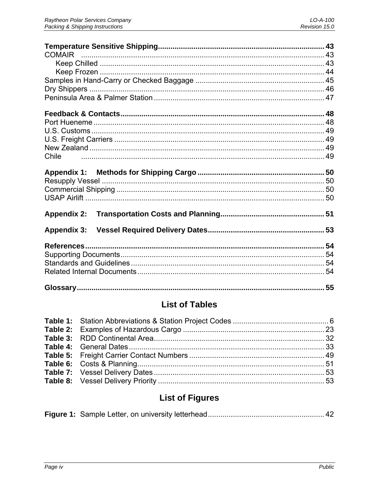| Chile              |    |
|--------------------|----|
|                    |    |
|                    |    |
|                    |    |
| <b>Appendix 2:</b> |    |
| <b>Appendix 3:</b> |    |
|                    |    |
|                    |    |
|                    |    |
|                    |    |
|                    | 55 |

# **List of Tables**

# **List of Figures**

|--|--|--|--|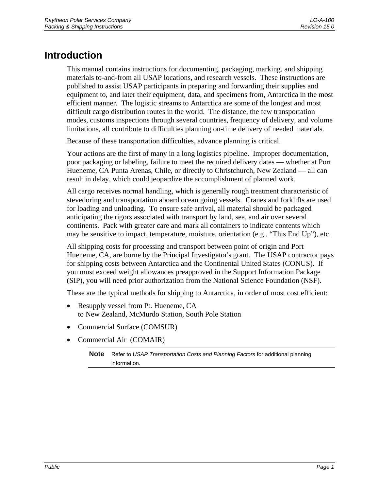# <span id="page-6-0"></span>**Introduction**

This manual contains instructions for documenting, packaging, marking, and shipping materials to-and-from all USAP locations, and research vessels. These instructions are published to assist USAP participants in preparing and forwarding their supplies and equipment to, and later their equipment, data, and specimens from, Antarctica in the most efficient manner. The logistic streams to Antarctica are some of the longest and most difficult cargo distribution routes in the world. The distance, the few transportation modes, customs inspections through several countries, frequency of delivery, and volume limitations, all contribute to difficulties planning on-time delivery of needed materials.

Because of these transportation difficulties, advance planning is critical.

Your actions are the first of many in a long logistics pipeline. Improper documentation, poor packaging or labeling, failure to meet the required delivery dates — whether at Port Hueneme, CA Punta Arenas, Chile, or directly to Christchurch, New Zealand — all can result in delay, which could jeopardize the accomplishment of planned work.

All cargo receives normal handling, which is generally rough treatment characteristic of stevedoring and transportation aboard ocean going vessels. Cranes and forklifts are used for loading and unloading. To ensure safe arrival, all material should be packaged anticipating the rigors associated with transport by land, sea, and air over several continents. Pack with greater care and mark all containers to indicate contents which may be sensitive to impact, temperature, moisture, orientation (e.g., "This End Up"), etc.

All shipping costs for processing and transport between point of origin and Port Hueneme, CA, are borne by the Principal Investigator's grant. The USAP contractor pays for shipping costs between Antarctica and the Continental United States (CONUS). If you must exceed weight allowances preapproved in the Support Information Package (SIP), you will need prior authorization from the National Science Foundation (NSF).

These are the typical methods for shipping to Antarctica, in order of most cost efficient:

- Resupply vessel from Pt. Hueneme, CA to New Zealand, McMurdo Station, South Pole Station
- Commercial Surface (COMSUR)
- Commercial Air (COMAIR)

**Note** Refer to *USAP Transportation Costs and Planning Factors* for additional planning information.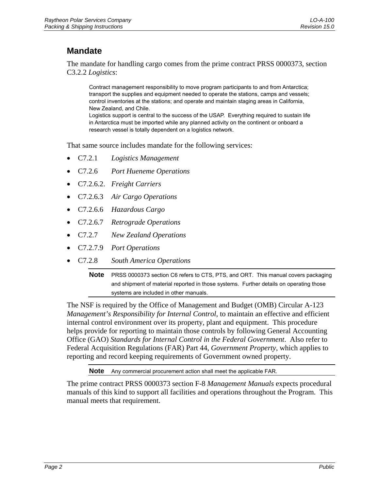# <span id="page-7-0"></span>**Mandate**

The mandate for handling cargo comes from the prime contract PRSS 0000373, section C3.2.2 *Logistics*:

Contract management responsibility to move program participants to and from Antarctica; transport the supplies and equipment needed to operate the stations, camps and vessels; control inventories at the stations; and operate and maintain staging areas in California, New Zealand, and Chile. Logistics support is central to the success of the USAP. Everything required to sustain life

in Antarctica must be imported while any planned activity on the continent or onboard a research vessel is totally dependent on a logistics network.

That same source includes mandate for the following services:

- C7.2.1 *Logistics Management*
- C7.2.6 *Port Hueneme Operations*
- C7.2.6.2. *Freight Carriers*
- C7.2.6.3 *Air Cargo Operations*
- C7.2.6.6 *Hazardous Cargo*
- C7.2.6.7 *Retrograde Operations*
- C7.2.7 *New Zealand Operations*
- C7.2.7.9 *Port Operations*
- C7.2.8 *South America Operations*

**Note** PRSS 0000373 section C6 refers to CTS, PTS, and ORT. This manual covers packaging and shipment of material reported in those systems. Further details on operating those systems are included in other manuals.

The NSF is required by the Office of Management and Budget (OMB) Circular A-123 *Management's Responsibility for Internal Control*, to maintain an effective and efficient internal control environment over its property, plant and equipment. This procedure helps provide for reporting to maintain those controls by following General Accounting Office (GAO) *Standards for Internal Control in the Federal Government*. Also refer to Federal Acquisition Regulations (FAR) Part 44, *Government Property*, which applies to reporting and record keeping requirements of Government owned property.

**Note** Any commercial procurement action shall meet the applicable FAR.

The prime contract PRSS 0000373 section F-8 *Management Manuals* expects procedural manuals of this kind to support all facilities and operations throughout the Program. This manual meets that requirement.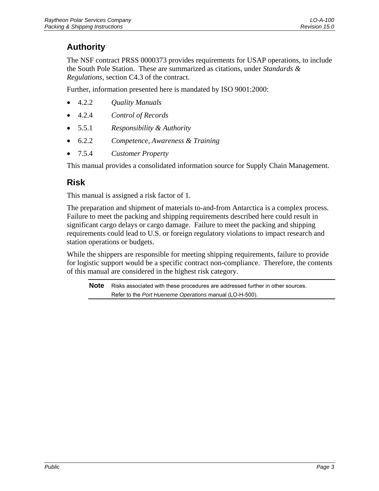# <span id="page-8-0"></span>**Authority**

The NSF contract PRSS 0000373 provides requirements for USAP operations, to include the South Pole Station. These are summarized as citations, under *Standards & Regulations*, section C4.3 of the contract.

Further, information presented here is mandated by ISO 9001:2000:

- 4.2.2 *Quality Manuals*
- 4.2.4 *Control of Records*
- 5.5.1 *Responsibility & Authority*
- 6.2.2 *Competence, Awareness & Training*
- 7.5.4 *Customer Property*

This manual provides a consolidated information source for Supply Chain Management.

### **Risk**

This manual is assigned a risk factor of 1.

The preparation and shipment of materials to-and-from Antarctica is a complex process. Failure to meet the packing and shipping requirements described here could result in significant cargo delays or cargo damage. Failure to meet the packing and shipping requirements could lead to U.S. or foreign regulatory violations to impact research and station operations or budgets.

While the shippers are responsible for meeting shipping requirements, failure to provide for logistic support would be a specific contract non-compliance. Therefore, the contents of this manual are considered in the highest risk category.

**Note** Risks associated with these procedures are addressed further in other sources. Refer to the *Port Hueneme Operations* manual (LO-H-500).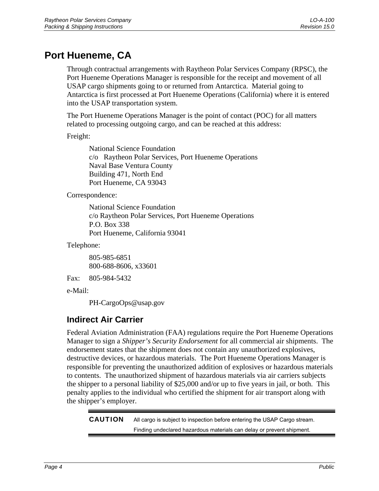# <span id="page-9-0"></span>**Port Hueneme, CA**

Through contractual arrangements with Raytheon Polar Services Company (RPSC), the Port Hueneme Operations Manager is responsible for the receipt and movement of all USAP cargo shipments going to or returned from Antarctica. Material going to Antarctica is first processed at Port Hueneme Operations (California) where it is entered into the USAP transportation system.

The Port Hueneme Operations Manager is the point of contact (POC) for all matters related to processing outgoing cargo, and can be reached at this address:

Freight:

National Science Foundation c/o Raytheon Polar Services, Port Hueneme Operations Naval Base Ventura County Building 471, North End Port Hueneme, CA 93043

Correspondence:

National Science Foundation c/o Raytheon Polar Services, Port Hueneme Operations P.O. Box 338 Port Hueneme, California 93041

Telephone:

805-985-6851 800-688-8606, x33601

Fax: 805-984-5432

e-Mail:

PH-CargoOps@usap.gov

## **Indirect Air Carrier**

Federal Aviation Administration (FAA) regulations require the Port Hueneme Operations Manager to sign a *Shipper's Security Endorsement* for all commercial air shipments. The endorsement states that the shipment does not contain any unauthorized explosives, destructive devices, or hazardous materials. The Port Hueneme Operations Manager is responsible for preventing the unauthorized addition of explosives or hazardous materials to contents. The unauthorized shipment of hazardous materials via air carriers subjects the shipper to a personal liability of \$25,000 and/or up to five years in jail, or both. This penalty applies to the individual who certified the shipment for air transport along with the shipper's employer.

CAUTION All cargo is subject to inspection before entering the USAP Cargo stream. Finding undeclared hazardous materials can delay or prevent shipment.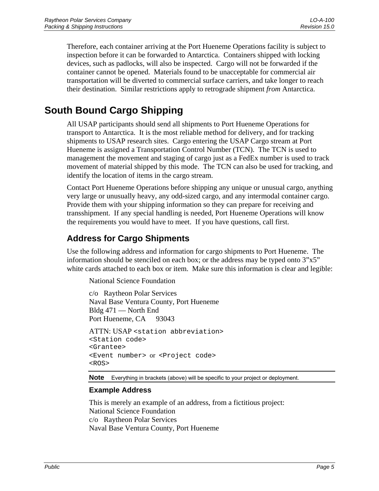<span id="page-10-0"></span>Therefore, each container arriving at the Port Hueneme Operations facility is subject to inspection before it can be forwarded to Antarctica. Containers shipped with locking devices, such as padlocks, will also be inspected. Cargo will not be forwarded if the container cannot be opened. Materials found to be unacceptable for commercial air transportation will be diverted to commercial surface carriers, and take longer to reach their destination. Similar restrictions apply to retrograde shipment *from* Antarctica.

# **South Bound Cargo Shipping**

All USAP participants should send all shipments to Port Hueneme Operations for transport to Antarctica. It is the most reliable method for delivery, and for tracking shipments to USAP research sites. Cargo entering the USAP Cargo stream at Port Hueneme is assigned a Transportation Control Number (TCN). The TCN is used to management the movement and staging of cargo just as a FedEx number is used to track movement of material shipped by this mode. The TCN can also be used for tracking, and identify the location of items in the cargo stream.

Contact Port Hueneme Operations before shipping any unique or unusual cargo, anything very large or unusually heavy, any odd-sized cargo, and any intermodal container cargo. Provide them with your shipping information so they can prepare for receiving and transshipment. If any special handling is needed, Port Hueneme Operations will know the requirements you would have to meet. If you have questions, call first.

## **Address for Cargo Shipments**

Use the following address and information for cargo shipments to Port Hueneme. The information should be stenciled on each box; or the address may be typed onto  $3"x5"$ white cards attached to each box or item. Make sure this information is clear and legible:

National Science Foundation

c/o Raytheon Polar Services Naval Base Ventura County, Port Hueneme Bldg 471 — North End Port Hueneme, CA 93043

ATTN: USAP <station abbreviation> <Station code> <Grantee> <Event number> or <Project code> <ROS>

**Note** Everything in brackets (above) will be specific to your project or deployment.

### **Example Address**

This is merely an example of an address, from a fictitious project: National Science Foundation c/o Raytheon Polar Services Naval Base Ventura County, Port Hueneme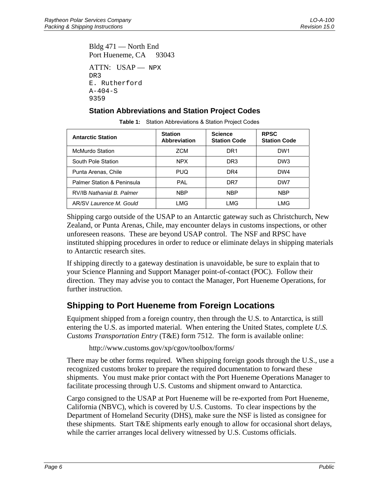<span id="page-11-0"></span>Bldg 471 — North End Port Hueneme, CA 93043 ATTN: USAP- NPX DR3 E. Rutherford  $A-404-S$ 9359

### **Station Abbreviations and Station Project Codes**

| <b>Antarctic Station</b>   | <b>Station</b><br>Abbreviation | <b>Science</b><br><b>Station Code</b> | <b>RPSC</b><br><b>Station Code</b> |
|----------------------------|--------------------------------|---------------------------------------|------------------------------------|
| McMurdo Station            | <b>ZCM</b>                     | DR1                                   | DW <sub>1</sub>                    |
| South Pole Station         | <b>NPX</b>                     | DR3                                   | DW <sub>3</sub>                    |
| Punta Arenas, Chile        | <b>PUQ</b>                     | DR4                                   | DW4                                |
| Palmer Station & Peninsula | PAI                            | DR7                                   | DW7                                |
| RV/IB Nathanial B. Palmer  | <b>NBP</b>                     | <b>NBP</b>                            | <b>NBP</b>                         |
| AR/SV Laurence M. Gould    | LMG                            | LMG                                   | LMG                                |

**Table 1:** Station Abbreviations & Station Project Codes

Shipping cargo outside of the USAP to an Antarctic gateway such as Christchurch, New Zealand, or Punta Arenas, Chile, may encounter delays in customs inspections, or other unforeseen reasons. These are beyond USAP control. The NSF and RPSC have instituted shipping procedures in order to reduce or eliminate delays in shipping materials to Antarctic research sites.

If shipping directly to a gateway destination is unavoidable, be sure to explain that to your Science Planning and Support Manager point-of-contact (POC). Follow their direction. They may advise you to contact the Manager, Port Hueneme Operations, for further instruction.

## **Shipping to Port Hueneme from Foreign Locations**

Equipment shipped from a foreign country, then through the U.S. to Antarctica, is still entering the U.S. as imported material. When entering the United States, complete *U.S. Customs Transportation Entry* (T&E) form 7512. The form is available online:

http://www.customs.gov/xp/cgov/toolbox/forms/

There may be other forms required. When shipping foreign goods through the U.S., use a recognized customs broker to prepare the required documentation to forward these shipments. You must make prior contact with the Port Hueneme Operations Manager to facilitate processing through U.S. Customs and shipment onward to Antarctica.

Cargo consigned to the USAP at Port Hueneme will be re-exported from Port Hueneme, California (NBVC), which is covered by U.S. Customs. To clear inspections by the Department of Homeland Security (DHS), make sure the NSF is listed as consignee for these shipments. Start T&E shipments early enough to allow for occasional short delays, while the carrier arranges local delivery witnessed by U.S. Customs officials.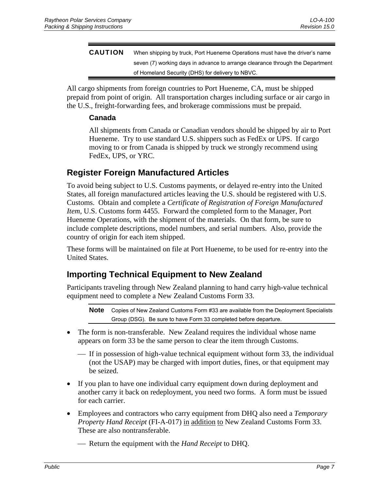<span id="page-12-0"></span>CAUTION When shipping by truck, Port Hueneme Operations must have the driver's name seven (7) working days in advance to arrange clearance through the Department of Homeland Security (DHS) for delivery to NBVC.

All cargo shipments from foreign countries to Port Hueneme, CA, must be shipped prepaid from point of origin. All transportation charges including surface or air cargo in the U.S., freight-forwarding fees, and brokerage commissions must be prepaid.

### **Canada**

All shipments from Canada or Canadian vendors should be shipped by air to Port Hueneme. Try to use standard U.S. shippers such as FedEx or UPS. If cargo moving to or from Canada is shipped by truck we strongly recommend using FedEx, UPS, or YRC.

### **Register Foreign Manufactured Articles**

To avoid being subject to U.S. Customs payments, or delayed re-entry into the United States, all foreign manufactured articles leaving the U.S. should be registered with U.S. Customs. Obtain and complete a *Certificate of Registration of Foreign Manufactured Item*, U.S. Customs form 4455. Forward the completed form to the Manager, Port Hueneme Operations, with the shipment of the materials. On that form, be sure to include complete descriptions, model numbers, and serial numbers. Also, provide the country of origin for each item shipped.

These forms will be maintained on file at Port Hueneme, to be used for re-entry into the United States.

### **Importing Technical Equipment to New Zealand**

Participants traveling through New Zealand planning to hand carry high-value technical equipment need to complete a New Zealand Customs Form 33.

**Note** Copies of New Zealand Customs Form #33 are available from the Deployment Specialists Group (DSG). Be sure to have Form 33 completed before departure.

- The form is non-transferable. New Zealand requires the individual whose name appears on form 33 be the same person to clear the item through Customs.
	- ⎯ If in possession of high-value technical equipment without form 33, the individual (not the USAP) may be charged with import duties, fines, or that equipment may be seized.
- If you plan to have one individual carry equipment down during deployment and another carry it back on redeployment, you need two forms. A form must be issued for each carrier.
- Employees and contractors who carry equipment from DHQ also need a *Temporary Property Hand Receipt* (FI-A-017) in addition to New Zealand Customs Form 33. These are also nontransferable.

⎯ Return the equipment with the *Hand Receipt* to DHQ.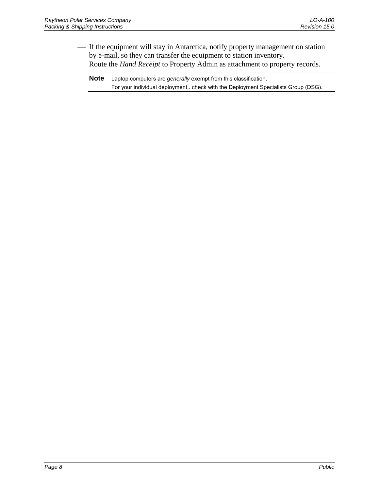- If the equipment will stay in Antarctica, notify property management on station by e-mail, so they can transfer the equipment to station inventory. Route the *Hand Receipt* to Property Admin as attachment to property records.

**Note** Laptop computers are *generally* exempt from this classification. For your individual deployment,. check with the Deployment Specialists Group (DSG).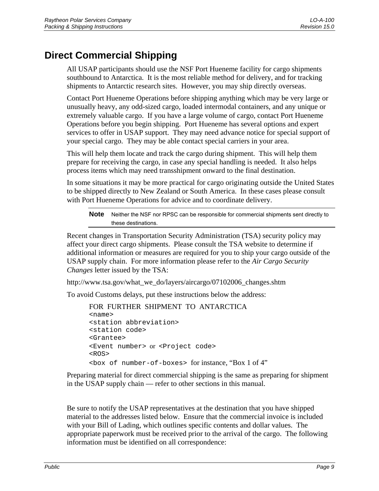# <span id="page-14-0"></span>**Direct Commercial Shipping**

All USAP participants should use the NSF Port Hueneme facility for cargo shipments southbound to Antarctica. It is the most reliable method for delivery, and for tracking shipments to Antarctic research sites. However, you may ship directly overseas.

Contact Port Hueneme Operations before shipping anything which may be very large or unusually heavy, any odd-sized cargo, loaded intermodal containers, and any unique or extremely valuable cargo. If you have a large volume of cargo, contact Port Hueneme Operations before you begin shipping. Port Hueneme has several options and expert services to offer in USAP support. They may need advance notice for special support of your special cargo. They may be able contact special carriers in your area.

This will help them locate and track the cargo during shipment. This will help them prepare for receiving the cargo, in case any special handling is needed. It also helps process items which may need transshipment onward to the final destination.

In some situations it may be more practical for cargo originating outside the United States to be shipped directly to New Zealand or South America. In these cases please consult with Port Hueneme Operations for advice and to coordinate delivery.

**Note** Neither the NSF nor RPSC can be responsible for commercial shipments sent directly to these destinations.

Recent changes in Transportation Security Administration (TSA) security policy may affect your direct cargo shipments. Please consult the TSA website to determine if additional information or measures are required for you to ship your cargo outside of the USAP supply chain. For more information please refer to the *Air Cargo Security Changes* letter issued by the TSA:

http://www.tsa.gov/what\_we\_do/layers/aircargo/07102006\_changes.shtm

To avoid Customs delays, put these instructions below the address:

```
FOR FURTHER SHIPMENT TO ANTARCTICA 
<name> 
<station abbreviation> 
<station code> 
<Grantee> 
<Event number> or <Project code> 
<ROS> 
<box of number-of-boxes> for instance, "Box 1 of 4"
```
Preparing material for direct commercial shipping is the same as preparing for shipment in the USAP supply chain — refer to other sections in this manual.

Be sure to notify the USAP representatives at the destination that you have shipped material to the addresses listed below. Ensure that the commercial invoice is included with your Bill of Lading, which outlines specific contents and dollar values. The appropriate paperwork must be received prior to the arrival of the cargo. The following information must be identified on all correspondence: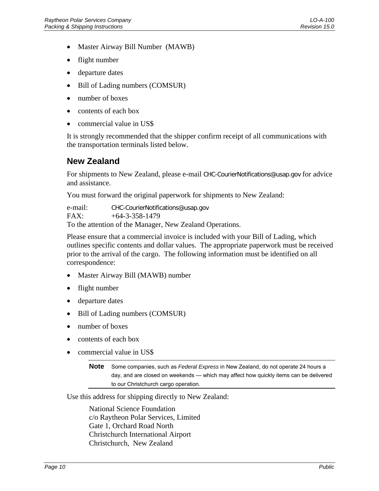- <span id="page-15-0"></span>• Master Airway Bill Number (MAWB)
- flight number
- departure dates
- Bill of Lading numbers (COMSUR)
- number of boxes
- contents of each box
- commercial value in US\$

It is strongly recommended that the shipper confirm receipt of all communications with the transportation terminals listed below.

### **New Zealand**

For shipments to New Zealand, please e-mail CHC-CourierNotifications@usap.gov for advice and assistance.

You must forward the original paperwork for shipments to New Zealand:

e-mail: CHC-CourierNotifications@usap.gov FAX: +64-3-358-1479 To the attention of the Manager, New Zealand Operations.

Please ensure that a commercial invoice is included with your Bill of Lading, which outlines specific contents and dollar values. The appropriate paperwork must be received prior to the arrival of the cargo. The following information must be identified on all correspondence:

- Master Airway Bill (MAWB) number
- flight number
- departure dates
- Bill of Lading numbers (COMSUR)
- number of boxes
- contents of each box
- commercial value in US\$

**Note** Some companies, such as *Federal Express* in New Zealand, do not operate 24 hours a day, and are closed on weekends — which may affect how quickly items can be delivered to our Christchurch cargo operation.

Use this address for shipping directly to New Zealand:

National Science Foundation c/o Raytheon Polar Services, Limited Gate 1, Orchard Road North Christchurch International Airport Christchurch, New Zealand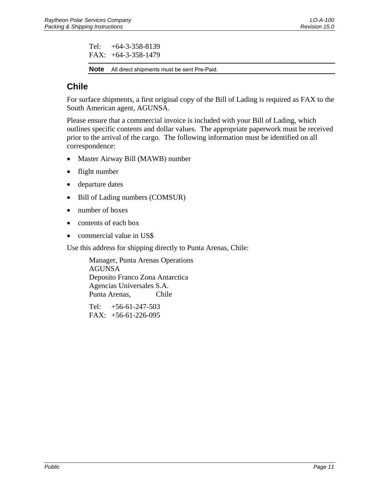<span id="page-16-0"></span>Tel: +64-3-358-8139 FAX: +64-3-358-1479

**Note** All direct shipments must be sent Pre-Paid.

# **Chile**

For surface shipments, a first original copy of the Bill of Lading is required as FAX to the South American agent, AGUNSA.

Please ensure that a commercial invoice is included with your Bill of Lading, which outlines specific contents and dollar values. The appropriate paperwork must be received prior to the arrival of the cargo. The following information must be identified on all correspondence:

- Master Airway Bill (MAWB) number
- flight number
- departure dates
- Bill of Lading numbers (COMSUR)
- number of boxes
- contents of each box
- commercial value in US\$

Use this address for shipping directly to Punta Arenas, Chile:

Manager, Punta Arenas Operations AGUNSA Deposito Franco Zona Antarctica Agencias Universales S.A. Punta Arenas, Chile

Tel: +56-61-247-503 FAX: +56-61-226-095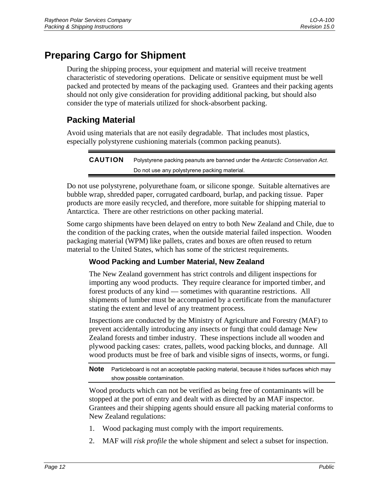# <span id="page-17-0"></span>**Preparing Cargo for Shipment**

During the shipping process, your equipment and material will receive treatment characteristic of stevedoring operations. Delicate or sensitive equipment must be well packed and protected by means of the packaging used. Grantees and their packing agents should not only give consideration for providing additional packing, but should also consider the type of materials utilized for shock-absorbent packing.

## **Packing Material**

Avoid using materials that are not easily degradable. That includes most plastics, especially polystyrene cushioning materials (common packing peanuts).

CAUTION Polystyrene packing peanuts are banned under the *Antarctic Conservation Act*. Do not use any polystyrene packing material.

Do not use polystyrene, polyurethane foam, or silicone sponge. Suitable alternatives are bubble wrap, shredded paper, corrugated cardboard, burlap, and packing tissue. Paper products are more easily recycled, and therefore, more suitable for shipping material to Antarctica. There are other restrictions on other packing material.

Some cargo shipments have been delayed on entry to both New Zealand and Chile, due to the condition of the packing crates, when the outside material failed inspection. Wooden packaging material (WPM) like pallets, crates and boxes are often reused to return material to the United States, which has some of the strictest requirements.

### **Wood Packing and Lumber Material, New Zealand**

The New Zealand government has strict controls and diligent inspections for importing any wood products. They require clearance for imported timber, and forest products of any kind — sometimes with quarantine restrictions. All shipments of lumber must be accompanied by a certificate from the manufacturer stating the extent and level of any treatment process.

Inspections are conducted by the Ministry of Agriculture and Forestry (MAF) to prevent accidentally introducing any insects or fungi that could damage New Zealand forests and timber industry. These inspections include all wooden and plywood packing cases: crates, pallets, wood packing blocks, and dunnage. All wood products must be free of bark and visible signs of insects, worms, or fungi.

**Note** Particleboard is not an acceptable packing material, because it hides surfaces which may show possible contamination.

Wood products which can not be verified as being free of contaminants will be stopped at the port of entry and dealt with as directed by an MAF inspector. Grantees and their shipping agents should ensure all packing material conforms to New Zealand regulations:

- 1. Wood packaging must comply with the import requirements.
- 2. MAF will *risk profile* the whole shipment and select a subset for inspection.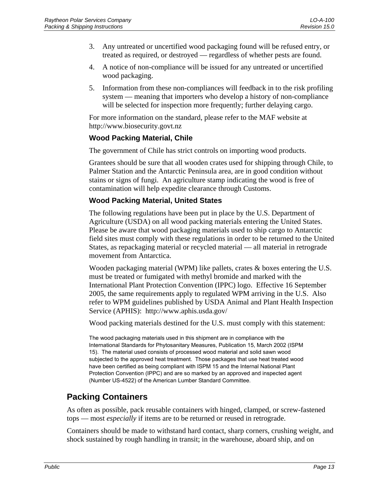- <span id="page-18-0"></span>3. Any untreated or uncertified wood packaging found will be refused entry, or treated as required, or destroyed — regardless of whether pests are found.
- 4. A notice of non-compliance will be issued for any untreated or uncertified wood packaging.
- 5. Information from these non-compliances will feedback in to the risk profiling system — meaning that importers who develop a history of non-compliance will be selected for inspection more frequently; further delaying cargo.

For more information on the standard, please refer to the MAF website at http://www.biosecurity.govt.nz

### **Wood Packing Material, Chile**

The government of Chile has strict controls on importing wood products.

Grantees should be sure that all wooden crates used for shipping through Chile, to Palmer Station and the Antarctic Peninsula area, are in good condition without stains or signs of fungi. An agriculture stamp indicating the wood is free of contamination will help expedite clearance through Customs.

### **Wood Packing Material, United States**

The following regulations have been put in place by the U.S. Department of Agriculture (USDA) on all wood packing materials entering the United States. Please be aware that wood packaging materials used to ship cargo to Antarctic field sites must comply with these regulations in order to be returned to the United States, as repackaging material or recycled material — all material in retrograde movement from Antarctica.

Wooden packaging material (WPM) like pallets, crates & boxes entering the U.S. must be treated or fumigated with methyl bromide and marked with the International Plant Protection Convention (IPPC) logo. Effective 16 September 2005, the same requirements apply to regulated WPM arriving in the U.S. Also refer to WPM guidelines published by USDA Animal and Plant Health Inspection Service (APHIS): http://www.aphis.usda.gov/

Wood packing materials destined for the U.S. must comply with this statement:

The wood packaging materials used in this shipment are in compliance with the International Standards for Phytosanitary Measures, Publication 15, March 2002 (ISPM 15). The material used consists of processed wood material and solid sawn wood subjected to the approved heat treatment. Those packages that use heat treated wood have been certified as being compliant with ISPM 15 and the Internal National Plant Protection Convention (IPPC) and are so marked by an approved and inspected agent (Number US-4522) of the American Lumber Standard Committee.

## **Packing Containers**

As often as possible, pack reusable containers with hinged, clamped, or screw-fastened tops — most *especially* if items are to be returned or reused in retrograde.

Containers should be made to withstand hard contact, sharp corners, crushing weight, and shock sustained by rough handling in transit; in the warehouse, aboard ship, and on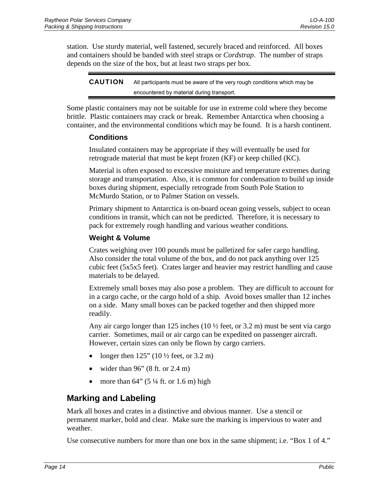<span id="page-19-0"></span>station. Use sturdy material, well fastened, securely braced and reinforced. All boxes and containers should be banded with steel straps or *Cordstrap*. The number of straps depends on the size of the box, but at least two straps per box.

CAUTION All participants must be aware of the very rough conditions which may be encountered by material during transport.

Some plastic containers may not be suitable for use in extreme cold where they become brittle. Plastic containers may crack or break. Remember Antarctica when choosing a container, and the environmental conditions which may be found. It is a harsh continent.

### **Conditions**

Insulated containers may be appropriate if they will eventually be used for retrograde material that must be kept frozen (KF) or keep chilled (KC).

Material is often exposed to excessive moisture and temperature extremes during storage and transportation. Also, it is common for condensation to build up inside boxes during shipment, especially retrograde from South Pole Station to McMurdo Station, or to Palmer Station on vessels.

Primary shipment to Antarctica is on-board ocean going vessels, subject to ocean conditions in transit, which can not be predicted. Therefore, it is necessary to pack for extremely rough handling and various weather conditions.

### **Weight & Volume**

Crates weighing over 100 pounds must be palletized for safer cargo handling. Also consider the total volume of the box, and do not pack anything over 125 cubic feet (5x5x5 feet). Crates larger and heavier may restrict handling and cause materials to be delayed.

Extremely small boxes may also pose a problem. They are difficult to account for in a cargo cache, or the cargo hold of a ship. Avoid boxes smaller than 12 inches on a side. Many small boxes can be packed together and then shipped more readily.

Any air cargo longer than 125 inches (10  $\frac{1}{2}$  feet, or 3.2 m) must be sent via cargo carrier. Sometimes, mail or air cargo can be expedited on passenger aircraft. However, certain sizes can only be flown by cargo carriers.

- longer then  $125$ " ( $10\frac{1}{2}$  feet, or  $3.2 \text{ m}$ )
- wider than  $96$ " (8 ft. or 2.4 m)
- more than  $64$ " (5  $\frac{1}{4}$  ft. or 1.6 m) high

## **Marking and Labeling**

Mark all boxes and crates in a distinctive and obvious manner. Use a stencil or permanent marker, bold and clear. Make sure the marking is impervious to water and weather.

Use consecutive numbers for more than one box in the same shipment; i.e. "Box 1 of 4."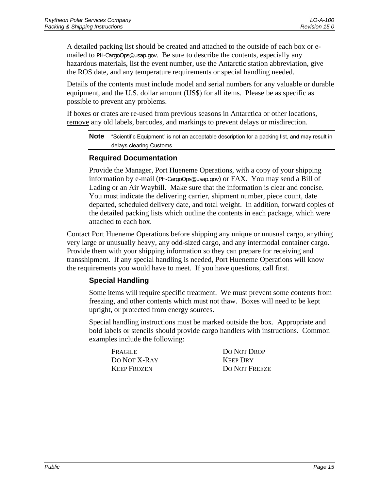<span id="page-20-0"></span>A detailed packing list should be created and attached to the outside of each box or emailed to PH-CargoOps@usap.gov. Be sure to describe the contents, especially any hazardous materials, list the event number, use the Antarctic station abbreviation, give the ROS date, and any temperature requirements or special handling needed.

Details of the contents must include model and serial numbers for any valuable or durable equipment, and the U.S. dollar amount (US\$) for all items. Please be as specific as possible to prevent any problems.

If boxes or crates are re-used from previous seasons in Antarctica or other locations, remove any old labels, barcodes, and markings to prevent delays or misdirection.

**Note** "Scientific Equipment" is not an acceptable description for a packing list, and may result in delays clearing Customs.

### **Required Documentation**

Provide the Manager, Port Hueneme Operations, with a copy of your shipping information by e-mail (PH-CargoOps@usap.gov) or FAX. You may send a Bill of Lading or an Air Waybill. Make sure that the information is clear and concise. You must indicate the delivering carrier, shipment number, piece count, date departed, scheduled delivery date, and total weight. In addition, forward copies of the detailed packing lists which outline the contents in each package, which were attached to each box.

Contact Port Hueneme Operations before shipping any unique or unusual cargo, anything very large or unusually heavy, any odd-sized cargo, and any intermodal container cargo. Provide them with your shipping information so they can prepare for receiving and transshipment. If any special handling is needed, Port Hueneme Operations will know the requirements you would have to meet. If you have questions, call first.

### **Special Handling**

Some items will require specific treatment. We must prevent some contents from freezing, and other contents which must not thaw. Boxes will need to be kept upright, or protected from energy sources.

Special handling instructions must be marked outside the box. Appropriate and bold labels or stencils should provide cargo handlers with instructions. Common examples include the following:

FRAGILE DO NOT DROP DO NOT X-RAY KEEP DRY

KEEP FROZEN DO NOT FREEZE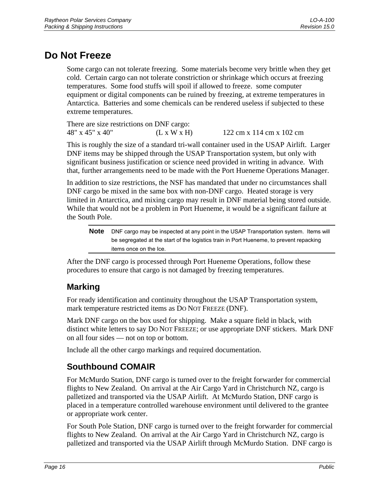# <span id="page-21-0"></span>**Do Not Freeze**

Some cargo can not tolerate freezing. Some materials become very brittle when they get cold. Certain cargo can not tolerate constriction or shrinkage which occurs at freezing temperatures. Some food stuffs will spoil if allowed to freeze. some computer equipment or digital components can be ruined by freezing, at extreme temperatures in Antarctica. Batteries and some chemicals can be rendered useless if subjected to these extreme temperatures.

There are size restrictions on DNF cargo: 48" x 45" x 40" (L x W x H) 122 cm x 114 cm x 102 cm

This is roughly the size of a standard tri-wall container used in the USAP Airlift. Larger DNF items may be shipped through the USAP Transportation system, but only with significant business justification or science need provided in writing in advance. With that, further arrangements need to be made with the Port Hueneme Operations Manager.

In addition to size restrictions, the NSF has mandated that under no circumstances shall DNF cargo be mixed in the same box with non-DNF cargo. Heated storage is very limited in Antarctica, and mixing cargo may result in DNF material being stored outside. While that would not be a problem in Port Hueneme, it would be a significant failure at the South Pole.

**Note** DNF cargo may be inspected at any point in the USAP Transportation system. Items will be segregated at the start of the logistics train in Port Hueneme, to prevent repacking items once on the Ice.

After the DNF cargo is processed through Port Hueneme Operations, follow these procedures to ensure that cargo is not damaged by freezing temperatures.

# **Marking**

For ready identification and continuity throughout the USAP Transportation system, mark temperature restricted items as DO NOT FREEZE (DNF).

Mark DNF cargo on the box used for shipping. Make a square field in black, with distinct white letters to say DO NOT FREEZE; or use appropriate DNF stickers. Mark DNF on all four sides — not on top or bottom.

Include all the other cargo markings and required documentation.

## **Southbound COMAIR**

For McMurdo Station, DNF cargo is turned over to the freight forwarder for commercial flights to New Zealand. On arrival at the Air Cargo Yard in Christchurch NZ, cargo is palletized and transported via the USAP Airlift. At McMurdo Station, DNF cargo is placed in a temperature controlled warehouse environment until delivered to the grantee or appropriate work center.

For South Pole Station, DNF cargo is turned over to the freight forwarder for commercial flights to New Zealand. On arrival at the Air Cargo Yard in Christchurch NZ, cargo is palletized and transported via the USAP Airlift through McMurdo Station. DNF cargo is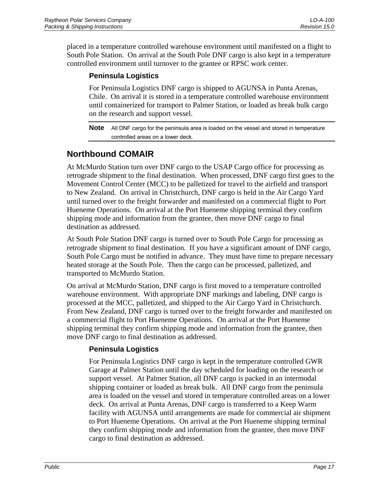<span id="page-22-0"></span>placed in a temperature controlled warehouse environment until manifested on a flight to South Pole Station. On arrival at the South Pole DNF cargo is also kept in a temperature controlled environment until turnover to the grantee or RPSC work center.

### **Peninsula Logistics**

For Peninsula Logistics DNF cargo is shipped to AGUNSA in Punta Arenas, Chile. On arrival it is stored in a temperature controlled warehouse environment until containerized for transport to Palmer Station, or loaded as break bulk cargo on the research and support vessel.

**Note** All DNF cargo for the peninsula area is loaded on the vessel and stored in temperature controlled areas on a lower deck.

# **Northbound COMAIR**

At McMurdo Station turn over DNF cargo to the USAP Cargo office for processing as retrograde shipment to the final destination. When processed, DNF cargo first goes to the Movement Control Center (MCC) to be palletized for travel to the airfield and transport to New Zealand. On arrival in Christchurch, DNF cargo is held in the Air Cargo Yard until turned over to the freight forwarder and manifested on a commercial flight to Port Hueneme Operations. On arrival at the Port Hueneme shipping terminal they confirm shipping mode and information from the grantee, then move DNF cargo to final destination as addressed.

At South Pole Station DNF cargo is turned over to South Pole Cargo for processing as retrograde shipment to final destination. If you have a significant amount of DNF cargo, South Pole Cargo must be notified in advance. They must have time to prepare necessary heated storage at the South Pole. Then the cargo can be processed, palletized, and transported to McMurdo Station.

On arrival at McMurdo Station, DNF cargo is first moved to a temperature controlled warehouse environment. With appropriate DNF markings and labeling, DNF cargo is processed at the MCC, palletized, and shipped to the Air Cargo Yard in Christchurch. From New Zealand, DNF cargo is turned over to the freight forwarder and manifested on a commercial flight to Port Hueneme Operations. On arrival at the Port Hueneme shipping terminal they confirm shipping mode and information from the grantee, then move DNF cargo to final destination as addressed.

### **Peninsula Logistics**

For Peninsula Logistics DNF cargo is kept in the temperature controlled GWR Garage at Palmer Station until the day scheduled for loading on the research or support vessel. At Palmer Station, all DNF cargo is packed in an intermodal shipping container or loaded as break bulk. All DNF cargo from the peninsula area is loaded on the vessel and stored in temperature controlled areas on a lower deck. On arrival at Punta Arenas, DNF cargo is transferred to a Keep Warm facility with AGUNSA until arrangements are made for commercial air shipment to Port Hueneme Operations. On arrival at the Port Hueneme shipping terminal they confirm shipping mode and information from the grantee, then move DNF cargo to final destination as addressed.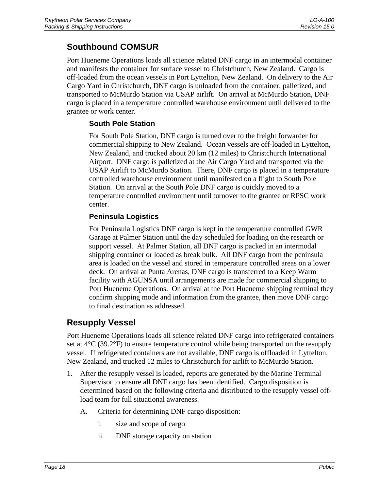# <span id="page-23-0"></span>**Southbound COMSUR**

Port Hueneme Operations loads all science related DNF cargo in an intermodal container and manifests the container for surface vessel to Christchurch, New Zealand. Cargo is off-loaded from the ocean vessels in Port Lyttelton, New Zealand. On delivery to the Air Cargo Yard in Christchurch, DNF cargo is unloaded from the container, palletized, and transported to McMurdo Station via USAP airlift. On arrival at McMurdo Station, DNF cargo is placed in a temperature controlled warehouse environment until delivered to the grantee or work center.

### **South Pole Station**

For South Pole Station, DNF cargo is turned over to the freight forwarder for commercial shipping to New Zealand. Ocean vessels are off-loaded in Lyttelton, New Zealand, and trucked about 20 km (12 miles) to Christchurch International Airport. DNF cargo is palletized at the Air Cargo Yard and transported via the USAP Airlift to McMurdo Station. There, DNF cargo is placed in a temperature controlled warehouse environment until manifested on a flight to South Pole Station. On arrival at the South Pole DNF cargo is quickly moved to a temperature controlled environment until turnover to the grantee or RPSC work center.

### **Peninsula Logistics**

For Peninsula Logistics DNF cargo is kept in the temperature controlled GWR Garage at Palmer Station until the day scheduled for loading on the research or support vessel. At Palmer Station, all DNF cargo is packed in an intermodal shipping container or loaded as break bulk. All DNF cargo from the peninsula area is loaded on the vessel and stored in temperature controlled areas on a lower deck. On arrival at Punta Arenas, DNF cargo is transferred to a Keep Warm facility with AGUNSA until arrangements are made for commercial shipping to Port Hueneme Operations. On arrival at the Port Hueneme shipping terminal they confirm shipping mode and information from the grantee, then move DNF cargo to final destination as addressed.

## **Resupply Vessel**

Port Hueneme Operations loads all science related DNF cargo into refrigerated containers set at  $4^{\circ}$ C (39.2 $^{\circ}$ F) to ensure temperature control while being transported on the resupply vessel. If refrigerated containers are not available, DNF cargo is offloaded in Lyttelton, New Zealand, and trucked 12 miles to Christchurch for airlift to McMurdo Station.

- 1. After the resupply vessel is loaded, reports are generated by the Marine Terminal Supervisor to ensure all DNF cargo has been identified. Cargo disposition is determined based on the following criteria and distributed to the resupply vessel offload team for full situational awareness.
	- A. Criteria for determining DNF cargo disposition:
		- i. size and scope of cargo
		- ii. DNF storage capacity on station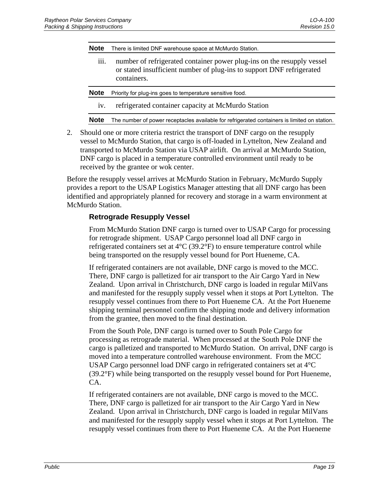<span id="page-24-0"></span>**Note** There is limited DNF warehouse space at McMurdo Station.

- iii. number of refrigerated container power plug-ins on the resupply vessel or stated insufficient number of plug-ins to support DNF refrigerated containers.
- **Note** Priority for plug-ins goes to temperature sensitive food.
	- iv. refrigerated container capacity at McMurdo Station

**Note** The number of power receptacles available for refrigerated containers is limited on station.

2. Should one or more criteria restrict the transport of DNF cargo on the resupply vessel to McMurdo Station, that cargo is off-loaded in Lyttelton, New Zealand and transported to McMurdo Station via USAP airlift. On arrival at McMurdo Station, DNF cargo is placed in a temperature controlled environment until ready to be received by the grantee or wok center.

Before the resupply vessel arrives at McMurdo Station in February, McMurdo Supply provides a report to the USAP Logistics Manager attesting that all DNF cargo has been identified and appropriately planned for recovery and storage in a warm environment at McMurdo Station.

### **Retrograde Resupply Vessel**

From McMurdo Station DNF cargo is turned over to USAP Cargo for processing for retrograde shipment. USAP Cargo personnel load all DNF cargo in refrigerated containers set at 4°C (39.2°F) to ensure temperature control while being transported on the resupply vessel bound for Port Hueneme, CA.

If refrigerated containers are not available, DNF cargo is moved to the MCC. There, DNF cargo is palletized for air transport to the Air Cargo Yard in New Zealand. Upon arrival in Christchurch, DNF cargo is loaded in regular MilVans and manifested for the resupply supply vessel when it stops at Port Lyttelton. The resupply vessel continues from there to Port Hueneme CA. At the Port Hueneme shipping terminal personnel confirm the shipping mode and delivery information from the grantee, then moved to the final destination.

From the South Pole, DNF cargo is turned over to South Pole Cargo for processing as retrograde material. When processed at the South Pole DNF the cargo is palletized and transported to McMurdo Station. On arrival, DNF cargo is moved into a temperature controlled warehouse environment. From the MCC USAP Cargo personnel load DNF cargo in refrigerated containers set at 4°C (39.2°F) while being transported on the resupply vessel bound for Port Hueneme, CA.

If refrigerated containers are not available, DNF cargo is moved to the MCC. There, DNF cargo is palletized for air transport to the Air Cargo Yard in New Zealand. Upon arrival in Christchurch, DNF cargo is loaded in regular MilVans and manifested for the resupply supply vessel when it stops at Port Lyttelton. The resupply vessel continues from there to Port Hueneme CA. At the Port Hueneme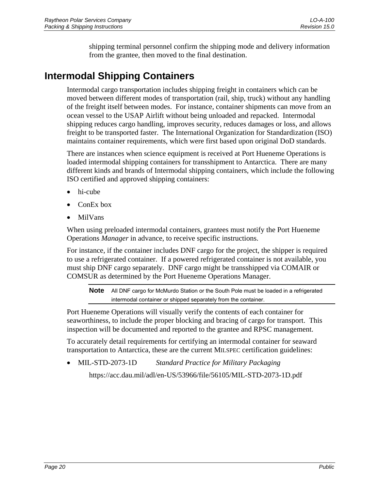shipping terminal personnel confirm the shipping mode and delivery information from the grantee, then moved to the final destination.

# <span id="page-25-0"></span>**Intermodal Shipping Containers**

Intermodal cargo transportation includes shipping freight in containers which can be moved between different modes of transportation (rail, ship, truck) without any handling of the freight itself between modes. For instance, container shipments can move from an ocean vessel to the USAP Airlift without being unloaded and repacked. Intermodal shipping reduces cargo handling, improves security, reduces damages or loss, and allows freight to be transported faster. The International Organization for Standardization (ISO) maintains container requirements, which were first based upon original DoD standards.

There are instances when science equipment is received at Port Hueneme Operations is loaded intermodal shipping containers for transshipment to Antarctica. There are many different kinds and brands of Intermodal shipping containers, which include the following ISO certified and approved shipping containers:

- hi-cube
- ConEx box
- MilVans

When using preloaded intermodal containers, grantees must notify the Port Hueneme Operations *Manager* in advance, to receive specific instructions.

For instance, if the container includes DNF cargo for the project, the shipper is required to use a refrigerated container. If a powered refrigerated container is not available, you must ship DNF cargo separately. DNF cargo might be transshipped via COMAIR or COMSUR as determined by the Port Hueneme Operations Manager.

**Note** All DNF cargo for McMurdo Station or the South Pole must be loaded in a refrigerated intermodal container or shipped separately from the container.

Port Hueneme Operations will visually verify the contents of each container for seaworthiness, to include the proper blocking and bracing of cargo for transport. This inspection will be documented and reported to the grantee and RPSC management.

To accurately detail requirements for certifying an intermodal container for seaward transportation to Antarctica, these are the current MILSPEC certification guidelines:

• MIL-STD-2073-1D *Standard Practice for Military Packaging*

https://acc.dau.mil/adl/en-US/53966/file/56105/MIL-STD-2073-1D.pdf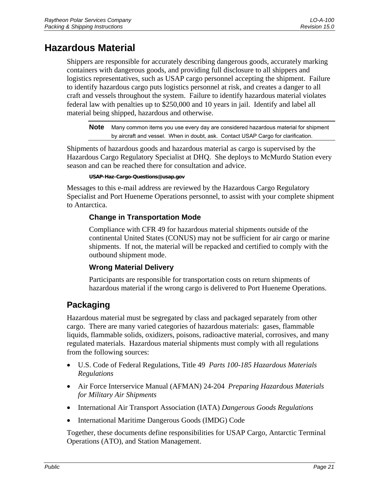# <span id="page-26-0"></span>**Hazardous Material**

Shippers are responsible for accurately describing dangerous goods, accurately marking containers with dangerous goods, and providing full disclosure to all shippers and logistics representatives, such as USAP cargo personnel accepting the shipment. Failure to identify hazardous cargo puts logistics personnel at risk, and creates a danger to all craft and vessels throughout the system. Failure to identify hazardous material violates federal law with penalties up to \$250,000 and 10 years in jail. Identify and label all material being shipped, hazardous and otherwise.

**Note** Many common items you use every day are considered hazardous material for shipment by aircraft and vessel. When in doubt, ask. Contact USAP Cargo for clarification.

Shipments of hazardous goods and hazardous material as cargo is supervised by the Hazardous Cargo Regulatory Specialist at DHQ. She deploys to McMurdo Station every season and can be reached there for consultation and advice.

**USAP-Haz-Cargo-Questions@usap.gov** 

Messages to this e-mail address are reviewed by the Hazardous Cargo Regulatory Specialist and Port Hueneme Operations personnel, to assist with your complete shipment to Antarctica.

### **Change in Transportation Mode**

Compliance with CFR 49 for hazardous material shipments outside of the continental United States (CONUS) may not be sufficient for air cargo or marine shipments. If not, the material will be repacked and certified to comply with the outbound shipment mode.

### **Wrong Material Delivery**

Participants are responsible for transportation costs on return shipments of hazardous material if the wrong cargo is delivered to Port Hueneme Operations.

# **Packaging**

Hazardous material must be segregated by class and packaged separately from other cargo. There are many varied categories of hazardous materials: gases, flammable liquids, flammable solids, oxidizers, poisons, radioactive material, corrosives, and many regulated materials. Hazardous material shipments must comply with all regulations from the following sources:

- U.S. Code of Federal Regulations, Title 49 *Parts 100-185 Hazardous Materials Regulations*
- Air Force Interservice Manual (AFMAN) 24-204 *Preparing Hazardous Materials for Military Air Shipments*
- International Air Transport Association (IATA) *Dangerous Goods Regulations*
- International Maritime Dangerous Goods (IMDG) Code

Together, these documents define responsibilities for USAP Cargo, Antarctic Terminal Operations (ATO), and Station Management.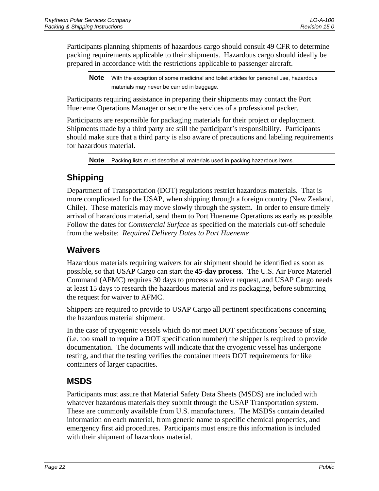<span id="page-27-0"></span>Participants planning shipments of hazardous cargo should consult 49 CFR to determine packing requirements applicable to their shipments. Hazardous cargo should ideally be prepared in accordance with the restrictions applicable to passenger aircraft.

**Note** With the exception of some medicinal and toilet articles for personal use, hazardous materials may never be carried in baggage.

Participants requiring assistance in preparing their shipments may contact the Port Hueneme Operations Manager or secure the services of a professional packer.

Participants are responsible for packaging materials for their project or deployment. Shipments made by a third party are still the participant's responsibility. Participants should make sure that a third party is also aware of precautions and labeling requirements for hazardous material.

**Note** Packing lists must describe all materials used in packing hazardous items.

# **Shipping**

Department of Transportation (DOT) regulations restrict hazardous materials. That is more complicated for the USAP, when shipping through a foreign country (New Zealand, Chile). These materials may move slowly through the system. In order to ensure timely arrival of hazardous material, send them to Port Hueneme Operations as early as possible. Follow the dates for *Commercial Surface* as specified on the materials cut-off schedule from the website: *Required Delivery Dates to Port Hueneme*

## **Waivers**

Hazardous materials requiring waivers for air shipment should be identified as soon as possible, so that USAP Cargo can start the **45-day process**. The U.S. Air Force Materiel Command (AFMC) requires 30 days to process a waiver request, and USAP Cargo needs at least 15 days to research the hazardous material and its packaging, before submitting the request for waiver to AFMC.

Shippers are required to provide to USAP Cargo all pertinent specifications concerning the hazardous material shipment.

In the case of cryogenic vessels which do not meet DOT specifications because of size, (i.e. too small to require a DOT specification number) the shipper is required to provide documentation. The documents will indicate that the cryogenic vessel has undergone testing, and that the testing verifies the container meets DOT requirements for like containers of larger capacities.

# **MSDS**

Participants must assure that Material Safety Data Sheets (MSDS) are included with whatever hazardous materials they submit through the USAP Transportation system. These are commonly available from U.S. manufacturers. The MSDSs contain detailed information on each material, from generic name to specific chemical properties, and emergency first aid procedures. Participants must ensure this information is included with their shipment of hazardous material.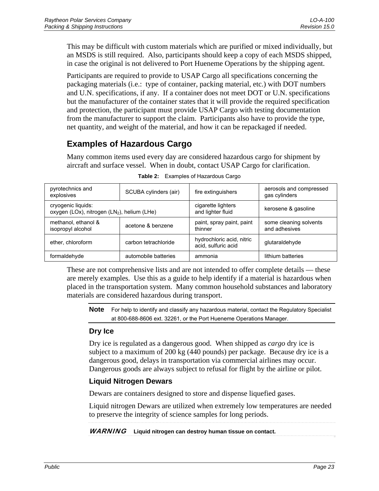<span id="page-28-0"></span>This may be difficult with custom materials which are purified or mixed individually, but an MSDS is still required. Also, participants should keep a copy of each MSDS shipped, in case the original is not delivered to Port Hueneme Operations by the shipping agent.

Participants are required to provide to USAP Cargo all specifications concerning the packaging materials (i.e.: type of container, packing material, etc.) with DOT numbers and U.N. specifications, if any. If a container does not meet DOT or U.N. specifications but the manufacturer of the container states that it will provide the required specification and protection, the participant must provide USAP Cargo with testing documentation from the manufacturer to support the claim. Participants also have to provide the type, net quantity, and weight of the material, and how it can be repackaged if needed.

# **Examples of Hazardous Cargo**

Many common items used every day are considered hazardous cargo for shipment by aircraft and surface vessel. When in doubt, contact USAP Cargo for clarification.

| pyrotechnics and<br>explosives                                   | SCUBA cylinders (air) | fire extinguishers                               | aerosols and compressed<br>gas cylinders |
|------------------------------------------------------------------|-----------------------|--------------------------------------------------|------------------------------------------|
| cryogenic liquids:<br>oxygen (LOx), nitrogen (LN2), helium (LHe) |                       | cigarette lighters<br>and lighter fluid          | kerosene & gasoline                      |
| methanol, ethanol &<br>isopropyl alcohol                         | acetone & benzene     | paint, spray paint, paint<br>thinner             | some cleaning solvents<br>and adhesives  |
| ether, chloroform                                                | carbon tetrachloride  | hydrochloric acid, nitric<br>acid, sulfuric acid | glutaraldehyde                           |
| formaldehyde                                                     | automobile batteries  | ammonia                                          | lithium batteries                        |

**Table 2:** Examples of Hazardous Cargo

These are not comprehensive lists and are not intended to offer complete details — these are merely examples. Use this as a guide to help identify if a material is hazardous when placed in the transportation system. Many common household substances and laboratory materials are considered hazardous during transport.

**Note** For help to identify and classify any hazardous material, contact the Regulatory Specialist at 800-688-8606 ext. 32261, or the Port Hueneme Operations Manager.

### **Dry Ice**

Dry ice is regulated as a dangerous good. When shipped as *cargo* dry ice is subject to a maximum of 200 kg (440 pounds) per package. Because dry ice is a dangerous good, delays in transportation via commercial airlines may occur. Dangerous goods are always subject to refusal for flight by the airline or pilot.

### **Liquid Nitrogen Dewars**

Dewars are containers designed to store and dispense liquefied gases.

Liquid nitrogen Dewars are utilized when extremely low temperatures are needed to preserve the integrity of science samples for long periods.

WARNING **Liquid nitrogen can destroy human tissue on contact.**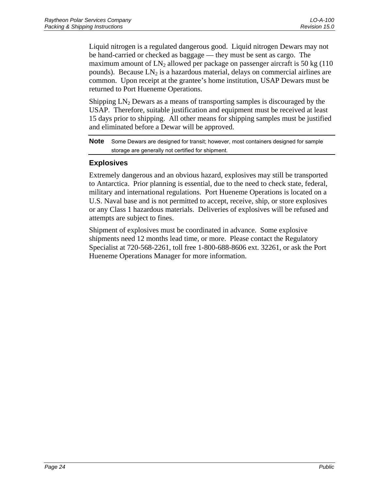<span id="page-29-0"></span>Liquid nitrogen is a regulated dangerous good. Liquid nitrogen Dewars may not be hand-carried or checked as baggage — they must be sent as cargo. The maximum amount of  $LN_2$  allowed per package on passenger aircraft is 50 kg (110) pounds). Because  $LN_2$  is a hazardous material, delays on commercial airlines are common. Upon receipt at the grantee's home institution, USAP Dewars must be returned to Port Hueneme Operations.

Shipping  $LN_2$  Dewars as a means of transporting samples is discouraged by the USAP. Therefore, suitable justification and equipment must be received at least 15 days prior to shipping. All other means for shipping samples must be justified and eliminated before a Dewar will be approved.

**Note** Some Dewars are designed for transit; however, most containers designed for sample storage are generally not certified for shipment.

### **Explosives**

Extremely dangerous and an obvious hazard, explosives may still be transported to Antarctica. Prior planning is essential, due to the need to check state, federal, military and international regulations. Port Hueneme Operations is located on a U.S. Naval base and is not permitted to accept, receive, ship, or store explosives or any Class 1 hazardous materials. Deliveries of explosives will be refused and attempts are subject to fines.

Shipment of explosives must be coordinated in advance. Some explosive shipments need 12 months lead time, or more. Please contact the Regulatory Specialist at 720-568-2261, toll free 1-800-688-8606 ext. 32261, or ask the Port Hueneme Operations Manager for more information.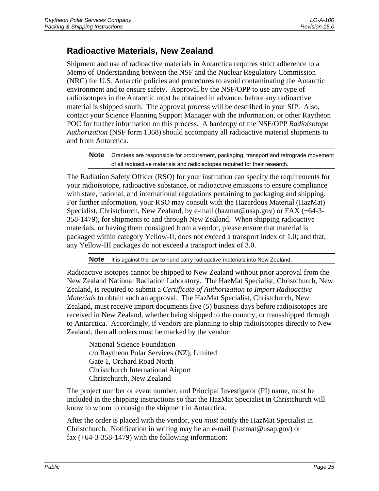## <span id="page-30-0"></span>**Radioactive Materials, New Zealand**

Shipment and use of radioactive materials in Antarctica requires strict adherence to a Memo of Understanding between the NSF and the Nuclear Regulatory Commission (NRC) for U.S. Antarctic policies and procedures to avoid contaminating the Antarctic environment and to ensure safety. Approval by the NSF/OPP to use any type of radioisotopes in the Antarctic must be obtained in advance, before any radioactive material is shipped south. The approval process will be described in your SIP. Also, contact your Science Planning Support Manager with the information, or other Raytheon POC for further information on this process. A hardcopy of the NSF/OPP *Radioisotope Authorization* (NSF form 1368) should accompany all radioactive material shipments to and from Antarctica.

**Note** Grantees are responsible for procurement, packaging, transport and retrograde movement of all radioactive materials and radioisotopes required for their research.

The Radiation Safety Officer (RSO) for your institution can specify the requirements for your radioisotope, radioactive substance, or radioactive emissions to ensure compliance with state, national, and international regulations pertaining to packaging and shipping. For further information, your RSO may consult with the Hazardous Material (HazMat) Specialist, Christchurch, New Zealand, by e-mail (hazmat@usap.gov) or FAX (+64-3- 358-1479), for shipments to and through New Zealand. When shipping radioactive materials, or having them consigned from a vendor, please ensure that material is packaged within category Yellow-II, does not exceed a transport index of 1.0; and that, any Yellow-III packages do not exceed a transport index of 3.0.

**Note** It is against the law to hand carry radioactive materials into New Zealand.

Radioactive isotopes cannot be shipped to New Zealand without prior approval from the New Zealand National Radiation Laboratory. The HazMat Specialist, Christchurch, New Zealand, is required to submit a *Certificate of Authorization to Import Radioactive Materials* to obtain such an approval. The HazMat Specialist, Christchurch, New Zealand, must receive import documents five (5) business days before radioisotopes are received in New Zealand, whether being shipped to the country, or transshipped through to Antarctica. Accordingly, if vendors are planning to ship radioisotopes directly to New Zealand, then all orders must be marked by the vendor:

National Science Foundation c/o Raytheon Polar Services (NZ), Limited Gate 1, Orchard Road North Christchurch International Airport Christchurch, New Zealand

The project number or event number, and Principal Investigator (PI) name, must be included in the shipping instructions so that the HazMat Specialist in Christchurch will know to whom to consign the shipment in Antarctica.

After the order is placed with the vendor, you *must* notify the HazMat Specialist in Christchurch. Notification in writing may be an e-mail (hazmat@usap.gov) or fax  $(+64-3-358-1479)$  with the following information: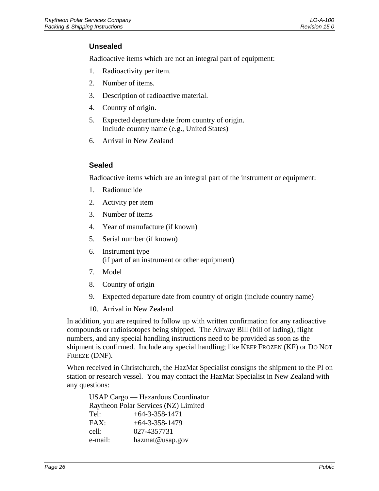### <span id="page-31-0"></span>**Unsealed**

Radioactive items which are not an integral part of equipment:

- 1. Radioactivity per item.
- 2. Number of items.
- 3. Description of radioactive material.
- 4. Country of origin.
- 5. Expected departure date from country of origin. Include country name (e.g., United States)
- 6. Arrival in New Zealand

### **Sealed**

Radioactive items which are an integral part of the instrument or equipment:

- 1. Radionuclide
- 2. Activity per item
- 3. Number of items
- 4. Year of manufacture (if known)
- 5. Serial number (if known)
- 6. Instrument type (if part of an instrument or other equipment)
- 7. Model
- 8. Country of origin
- 9. Expected departure date from country of origin (include country name)
- 10. Arrival in New Zealand

In addition, you are required to follow up with written confirmation for any radioactive compounds or radioisotopes being shipped. The Airway Bill (bill of lading), flight numbers, and any special handling instructions need to be provided as soon as the shipment is confirmed. Include any special handling; like KEEP FROZEN (KF) or DO NOT FREEZE (DNF).

When received in Christchurch, the HazMat Specialist consigns the shipment to the PI on station or research vessel. You may contact the HazMat Specialist in New Zealand with any questions:

USAP Cargo — Hazardous Coordinator Raytheon Polar Services (NZ) Limited Tel:  $+64-3-358-1471$ FAX: +64-3-358-1479 cell: 027-4357731 e-mail: hazmat@usap.gov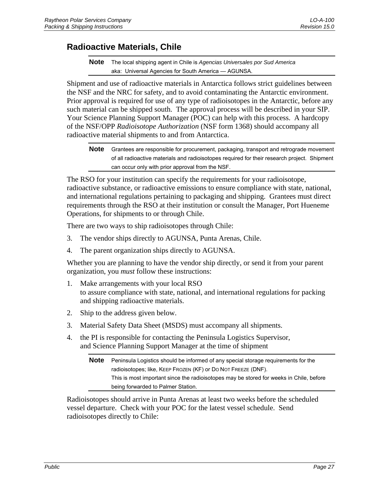### <span id="page-32-0"></span>**Radioactive Materials, Chile**

**Note** The local shipping agent in Chile is *Agencias Universales por Sud America* aka: Universal Agencies for South America — AGUNSA.

Shipment and use of radioactive materials in Antarctica follows strict guidelines between the NSF and the NRC for safety, and to avoid contaminating the Antarctic environment. Prior approval is required for use of any type of radioisotopes in the Antarctic, before any such material can be shipped south. The approval process will be described in your SIP. Your Science Planning Support Manager (POC) can help with this process. A hardcopy of the NSF/OPP *Radioisotope Authorization* (NSF form 1368) should accompany all radioactive material shipments to and from Antarctica.

**Note** Grantees are responsible for procurement, packaging, transport and retrograde movement of all radioactive materials and radioisotopes required for their research project. Shipment can occur only with prior approval from the NSF.

The RSO for your institution can specify the requirements for your radioisotope, radioactive substance, or radioactive emissions to ensure compliance with state, national, and international regulations pertaining to packaging and shipping. Grantees must direct requirements through the RSO at their institution or consult the Manager, Port Hueneme Operations, for shipments to or through Chile.

There are two ways to ship radioisotopes through Chile:

- 3. The vendor ships directly to AGUNSA, Punta Arenas, Chile.
- 4. The parent organization ships directly to AGUNSA.

Whether you are planning to have the vendor ship directly, or send it from your parent organization, you *must* follow these instructions:

- 1. Make arrangements with your local RSO to assure compliance with state, national, and international regulations for packing and shipping radioactive materials.
- 2. Ship to the address given below.
- 3. Material Safety Data Sheet (MSDS) must accompany all shipments.
- 4. the PI is responsible for contacting the Peninsula Logistics Supervisor, and Science Planning Support Manager at the time of shipment

| <b>Note</b> | Peninsula Logistics should be informed of any special storage requirements for the      |
|-------------|-----------------------------------------------------------------------------------------|
|             | radioisotopes; like, KEEP FROZEN (KF) or DO NOT FREEZE (DNF).                           |
|             | This is most important since the radioisotopes may be stored for weeks in Chile, before |
|             | being forwarded to Palmer Station.                                                      |

Radioisotopes should arrive in Punta Arenas at least two weeks before the scheduled vessel departure. Check with your POC for the latest vessel schedule. Send radioisotopes directly to Chile: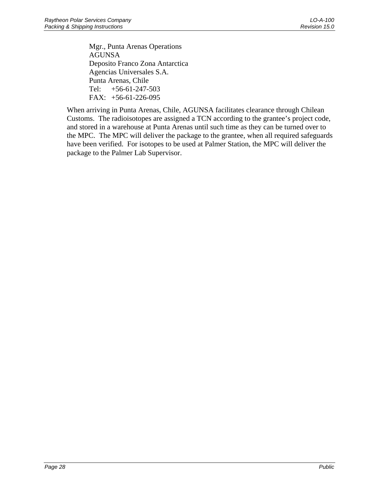Mgr., Punta Arenas Operations AGUNSA Deposito Franco Zona Antarctica Agencias Universales S.A. Punta Arenas, Chile Tel: +56-61-247-503 FAX: +56-61-226-095

When arriving in Punta Arenas, Chile, AGUNSA facilitates clearance through Chilean Customs. The radioisotopes are assigned a TCN according to the grantee's project code, and stored in a warehouse at Punta Arenas until such time as they can be turned over to the MPC. The MPC will deliver the package to the grantee, when all required safeguards have been verified. For isotopes to be used at Palmer Station, the MPC will deliver the package to the Palmer Lab Supervisor.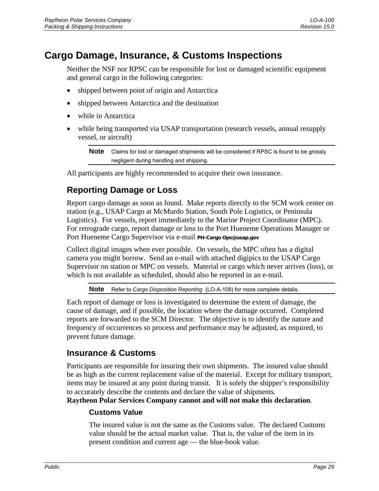# <span id="page-34-0"></span>**Cargo Damage, Insurance, & Customs Inspections**

Neither the NSF nor RPSC can be responsible for lost or damaged scientific equipment and general cargo in the following categories:

- shipped between point of origin and Antarctica
- shipped between Antarctica and the destination
- while in Antarctica
- while being transported via USAP transportation (research vessels, annual resupply vessel, or aircraft)

**Note** Claims for lost or damaged shipments will be considered if RPSC is found to be grossly negligent during handling and shipping.

All participants are highly recommended to acquire their own insurance.

# **Reporting Damage or Loss**

Report cargo damage as soon as found. Make reports directly to the SCM work center on station (e.g., USAP Cargo at McMurdo Station, South Pole Logistics, or Peninsula Logistics). For vessels, report immediately to the Marine Project Coordinator (MPC). For retrograde cargo, report damage or loss to the Port Hueneme Operations Manager or Port Hueneme Cargo Supervisor via e-mail **PH-Cargo Ops@usap.gov**

Collect digital images when ever possible. On vessels, the MPC often has a digital camera you might borrow. Send an e-mail with attached digipics to the USAP Cargo Supervisor on station or MPC on vessels. Material or cargo which never arrives (loss), or which is not available as scheduled, should also be reported in an e-mail.

**Note** Refer to *Cargo Disposition Reporting* (LO-A-108) for more complete details.

Each report of damage or loss is investigated to determine the extent of damage, the cause of damage, and if possible, the location where the damage occurred. Completed reports are forwarded to the SCM Director. The objective is to identify the nature and frequency of occurrences so process and performance may be adjusted, as required, to prevent future damage.

### **Insurance & Customs**

Participants are responsible for insuring their own shipments. The insured value should be as high as the current replacement value of the material. Except for military transport, items may be insured at any point during transit. It is solely the shipper's responsibility to accurately describe the contents and declare the value of shipments.

**Raytheon Polar Services Company cannot and will not make this declaration**.

### **Customs Value**

The insured value is not the same as the Customs value. The declared Customs value should be the actual market value. That is, the value of the item in its present condition and current age — the blue-book value.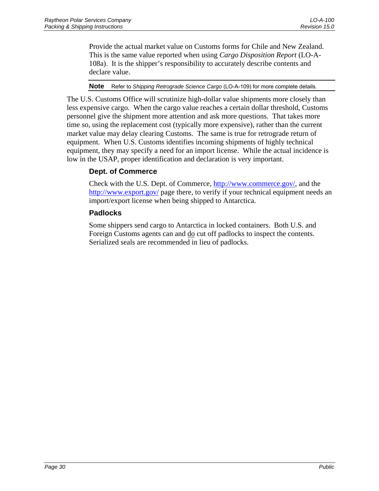<span id="page-35-0"></span>Provide the actual market value on Customs forms for Chile and New Zealand. This is the same value reported when using *Cargo Disposition Report* (LO-A-108a). It is the shipper's responsibility to accurately describe contents and declare value.

### **Note** Refer to *Shipping Retrograde Science Cargo* (LO-A-109) for more complete details.

The U.S. Customs Office will scrutinize high-dollar value shipments more closely than less expensive cargo. When the cargo value reaches a certain dollar threshold, Customs personnel give the shipment more attention and ask more questions. That takes more time so, using the replacement cost (typically more expensive), rather than the current market value may delay clearing Customs. The same is true for retrograde return of equipment. When U.S. Customs identifies incoming shipments of highly technical equipment, they may specify a need for an import license. While the actual incidence is low in the USAP, proper identification and declaration is very important.

### **Dept. of Commerce**

Check with the U.S. Dept. of Commerce, [http://www.commerce.gov/,](http://www.commerce.gov/) and the <http://www.export.gov/>page there, to verify if your technical equipment needs an import/export license when being shipped to Antarctica.

### **Padlocks**

Some shippers send cargo to Antarctica in locked containers. Both U.S. and Foreign Customs agents can and  $\underline{do}$  cut off padlocks to inspect the contents. Serialized seals are recommended in lieu of padlocks.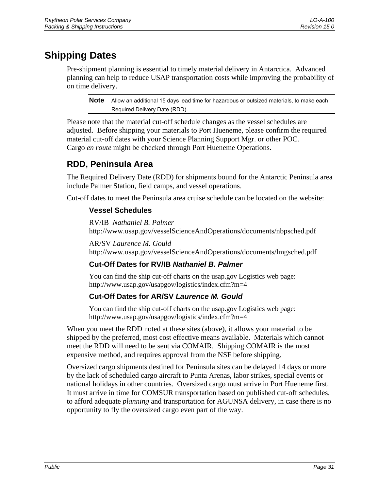# <span id="page-36-0"></span>**Shipping Dates**

Pre-shipment planning is essential to timely material delivery in Antarctica. Advanced planning can help to reduce USAP transportation costs while improving the probability of on time delivery.

**Note** Allow an additional 15 days lead time for hazardous or outsized materials, to make each Required Delivery Date (RDD).

Please note that the material cut-off schedule changes as the vessel schedules are adjusted. Before shipping your materials to Port Hueneme, please confirm the required material cut-off dates with your Science Planning Support Mgr. or other POC. Cargo *en route* might be checked through Port Hueneme Operations.

# **RDD, Peninsula Area**

The Required Delivery Date (RDD) for shipments bound for the Antarctic Peninsula area include Palmer Station, field camps, and vessel operations.

Cut-off dates to meet the Peninsula area cruise schedule can be located on the website:

### **Vessel Schedules**

RV/IB *Nathaniel B. Palmer* http://www.usap.gov/vesselScienceAndOperations/documents/nbpsched.pdf

AR/SV *Laurence M. Gould* http://www.usap.gov/vesselScienceAndOperations/documents/lmgsched.pdf

### **Cut-Off Dates for RV/IB** *Nathaniel B. Palmer*

You can find the ship cut-off charts on the usap.gov Logistics web page: http://www.usap.gov/usapgov/logistics/index.cfm?m=4

### **Cut-Off Dates for AR/SV** *Laurence M. Gould*

You can find the ship cut-off charts on the usap.gov Logistics web page: http://www.usap.gov/usapgov/logistics/index.cfm?m=4

When you meet the RDD noted at these sites (above), it allows your material to be shipped by the preferred, most cost effective means available. Materials which cannot meet the RDD will need to be sent via COMAIR. Shipping COMAIR is the most expensive method, and requires approval from the NSF before shipping.

Oversized cargo shipments destined for Peninsula sites can be delayed 14 days or more by the lack of scheduled cargo aircraft to Punta Arenas, labor strikes, special events or national holidays in other countries. Oversized cargo must arrive in Port Hueneme first. It must arrive in time for COMSUR transportation based on published cut-off schedules, to afford adequate *planning* and transportation for AGUNSA delivery, in case there is no opportunity to fly the oversized cargo even part of the way.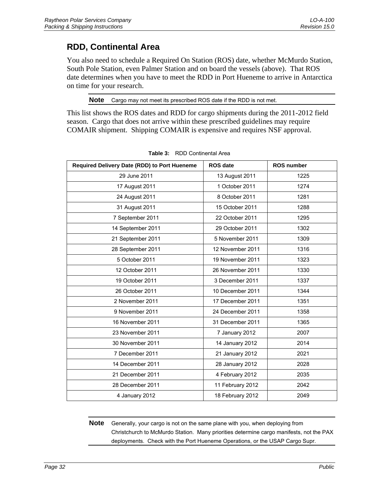# <span id="page-37-0"></span>**RDD, Continental Area**

You also need to schedule a Required On Station (ROS) date, whether McMurdo Station, South Pole Station, even Palmer Station and on board the vessels (above). That ROS date determines when you have to meet the RDD in Port Hueneme to arrive in Antarctica on time for your research.

**Note** Cargo may not meet its prescribed ROS date if the RDD is not met.

This list shows the ROS dates and RDD for cargo shipments during the 2011-2012 field season. Cargo that does not arrive within these prescribed guidelines may require COMAIR shipment. Shipping COMAIR is expensive and requires NSF approval.

| Required Delivery Date (RDD) to Port Hueneme | <b>ROS date</b>  | <b>ROS number</b> |
|----------------------------------------------|------------------|-------------------|
| 29 June 2011                                 | 13 August 2011   | 1225              |
| 17 August 2011                               | 1 October 2011   | 1274              |
| 24 August 2011                               | 8 October 2011   | 1281              |
| 31 August 2011                               | 15 October 2011  | 1288              |
| 7 September 2011                             | 22 October 2011  | 1295              |
| 14 September 2011                            | 29 October 2011  | 1302              |
| 21 September 2011                            | 5 November 2011  | 1309              |
| 28 September 2011                            | 12 November 2011 | 1316              |
| 5 October 2011                               | 19 November 2011 | 1323              |
| 12 October 2011                              | 26 November 2011 | 1330              |
| 19 October 2011                              | 3 December 2011  | 1337              |
| 26 October 2011                              | 10 December 2011 | 1344              |
| 2 November 2011                              | 17 December 2011 | 1351              |
| 9 November 2011                              | 24 December 2011 | 1358              |
| 16 November 2011                             | 31 December 2011 | 1365              |
| 23 November 2011                             | 7 January 2012   | 2007              |
| 30 November 2011                             | 14 January 2012  | 2014              |
| 7 December 2011                              | 21 January 2012  | 2021              |
| 14 December 2011                             | 28 January 2012  | 2028              |
| 21 December 2011                             | 4 February 2012  | 2035              |
| 28 December 2011                             | 11 February 2012 | 2042              |
| 4 January 2012                               | 18 February 2012 | 2049              |

| Table 3: | RDD Continental Area |
|----------|----------------------|
|          |                      |

**Note** Generally, your cargo is not on the same plane with you, when deploying from Christchurch to McMurdo Station. Many priorities determine cargo manifests, not the PAX deployments. Check with the Port Hueneme Operations, or the USAP Cargo Supr.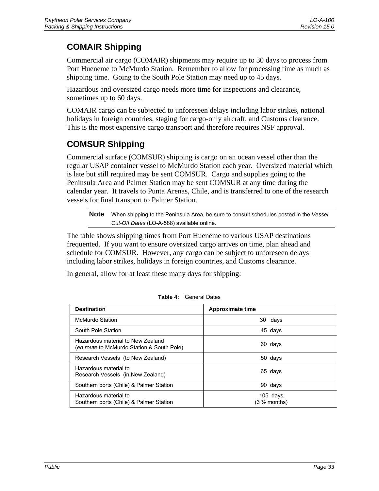# <span id="page-38-0"></span>**COMAIR Shipping**

Commercial air cargo (COMAIR) shipments may require up to 30 days to process from Port Hueneme to McMurdo Station. Remember to allow for processing time as much as shipping time. Going to the South Pole Station may need up to 45 days.

Hazardous and oversized cargo needs more time for inspections and clearance, sometimes up to 60 days.

COMAIR cargo can be subjected to unforeseen delays including labor strikes, national holidays in foreign countries, staging for cargo-only aircraft, and Customs clearance. This is the most expensive cargo transport and therefore requires NSF approval.

# **COMSUR Shipping**

Commercial surface (COMSUR) shipping is cargo on an ocean vessel other than the regular USAP container vessel to McMurdo Station each year. Oversized material which is late but still required may be sent COMSUR. Cargo and supplies going to the Peninsula Area and Palmer Station may be sent COMSUR at any time during the calendar year. It travels to Punta Arenas, Chile, and is transferred to one of the research vessels for final transport to Palmer Station.

**Note** When shipping to the Peninsula Area, be sure to consult schedules posted in the *Vessel Cut-Off Dates* (LO-A-588) available online.

The table shows shipping times from Port Hueneme to various USAP destinations frequented. If you want to ensure oversized cargo arrives on time, plan ahead and schedule for COMSUR. However, any cargo can be subject to unforeseen delays including labor strikes, holidays in foreign countries, and Customs clearance.

In general, allow for at least these many days for shipping:

| <b>Destination</b>                                                              | Approximate time                       |
|---------------------------------------------------------------------------------|----------------------------------------|
| <b>McMurdo Station</b>                                                          | 30 days                                |
| South Pole Station                                                              | 45 days                                |
| Hazardous material to New Zealand<br>(en route to McMurdo Station & South Pole) | 60 days                                |
| Research Vessels (to New Zealand)                                               | 50 days                                |
| Hazardous material to<br>Research Vessels (in New Zealand)                      | 65 days                                |
| Southern ports (Chile) & Palmer Station                                         | 90 days                                |
| Hazardous material to<br>Southern ports (Chile) & Palmer Station                | $105$ days<br>$(3 \frac{1}{2}$ months) |

|  | <b>Table 4:</b> General Dates |
|--|-------------------------------|
|--|-------------------------------|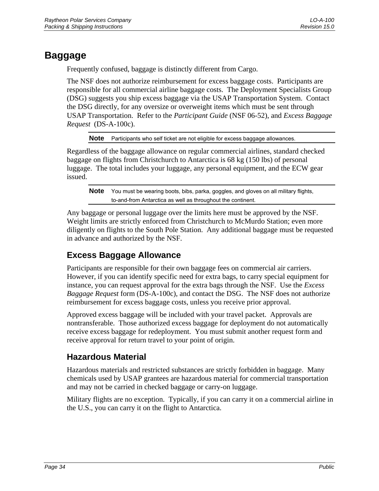# <span id="page-39-0"></span>**Baggage**

Frequently confused, baggage is distinctly different from Cargo.

The NSF does not authorize reimbursement for excess baggage costs. Participants are responsible for all commercial airline baggage costs. The Deployment Specialists Group (DSG) suggests you ship excess baggage via the USAP Transportation System. Contact the DSG directly, for any oversize or overweight items which must be sent through USAP Transportation. Refer to the *Participant Guide* (NSF 06-52), and *Excess Baggage Request* (DS-A-100c).

**Note** Participants who self ticket are not eligible for excess baggage allowances.

Regardless of the baggage allowance on regular commercial airlines, standard checked baggage on flights from Christchurch to Antarctica is 68 kg (150 lbs) of personal luggage. The total includes your luggage, any personal equipment, and the ECW gear issued.

**Note** You must be wearing boots, bibs, parka, goggles, and gloves on all military flights, to-and-from Antarctica as well as throughout the continent.

Any baggage or personal luggage over the limits here must be approved by the NSF. Weight limits are strictly enforced from Christchurch to McMurdo Station; even more diligently on flights to the South Pole Station. Any additional baggage must be requested in advance and authorized by the NSF.

# **Excess Baggage Allowance**

Participants are responsible for their own baggage fees on commercial air carriers. However, if you can identify specific need for extra bags, to carry special equipment for instance, you can request approval for the extra bags through the NSF. Use the *Excess Baggage Request* form (DS-A-100c), and contact the DSG. The NSF does not authorize reimbursement for excess baggage costs, unless you receive prior approval.

Approved excess baggage will be included with your travel packet. Approvals are nontransferable. Those authorized excess baggage for deployment do not automatically receive excess baggage for redeployment. You must submit another request form and receive approval for return travel to your point of origin.

# **Hazardous Material**

Hazardous materials and restricted substances are strictly forbidden in baggage. Many chemicals used by USAP grantees are hazardous material for commercial transportation and may not be carried in checked baggage or carry-on luggage.

Military flights are no exception. Typically, if you can carry it on a commercial airline in the U.S., you can carry it on the flight to Antarctica.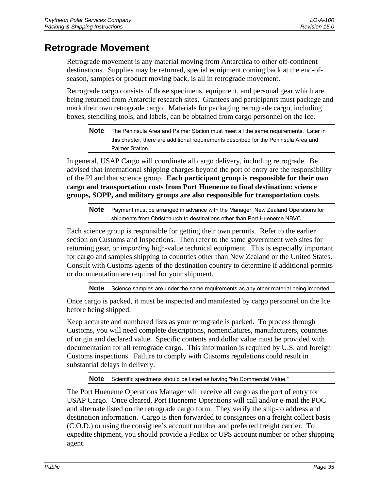# <span id="page-40-0"></span>**Retrograde Movement**

Retrograde movement is any material moving from Antarctica to other off-continent destinations. Supplies may be returned, special equipment coming back at the end-ofseason, samples or product moving back, is all in retrograde movement.

Retrograde cargo consists of those specimens, equipment, and personal gear which are being returned from Antarctic research sites. Grantees and participants must package and mark their own retrograde cargo. Materials for packaging retrograde cargo, including boxes, stenciling tools, and labels, can be obtained from cargo personnel on the Ice.

**Note** The Peninsula Area and Palmer Station must meet all the same requirements. Later in this chapter, there are additional requirements described for the Peninsula Area and Palmer Station.

In general, USAP Cargo will coordinate all cargo delivery, including retrograde. Be advised that international shipping charges beyond the port of entry are the responsibility of the PI and that science group. **Each participant group is responsible for their own cargo and transportation costs from Port Hueneme to final destination: science groups, SOPP, and military groups are also responsible for transportation costs**.

**Note** Payment must be arranged in advance with the Manager, New Zealand Operations for shipments from Christchurch to destinations other than Port Hueneme NBVC.

Each science group is responsible for getting their own permits. Refer to the earlier section on Customs and Inspections. Then refer to the same government web sites for returning gear, or *importing* high-value technical equipment. This is especially important for cargo and samples shipping to countries other than New Zealand or the United States. Consult with Customs agents of the destination country to determine if additional permits or documentation are required for your shipment.

**Note** Science samples are under the same requirements as any other material being imported.

Once cargo is packed, it must be inspected and manifested by cargo personnel on the Ice before being shipped.

Keep accurate and numbered lists as your retrograde is packed. To process through Customs, you will need complete descriptions, nomenclatures, manufacturers, countries of origin and declared value. Specific contents and dollar value must be provided with documentation for all retrograde cargo. This information is required by U.S. and foreign Customs inspections. Failure to comply with Customs regulations could result in substantial delays in delivery.

**Note** Scientific specimens should be listed as having "No Commercial Value."

The Port Hueneme Operations Manager will receive all cargo as the port of entry for USAP Cargo. Once cleared, Port Hueneme Operations will call and/or e-mail the POC and alternate listed on the retrograde cargo form. They verify the ship-to address and destination information. Cargo is then forwarded to consignees on a freight collect basis (C.O.D.) or using the consignee's account number and preferred freight carrier. To expedite shipment, you should provide a FedEx or UPS account number or other shipping agent.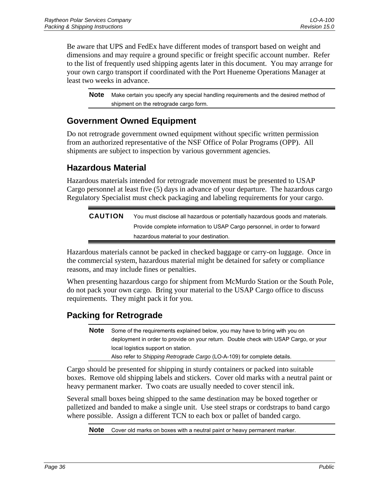<span id="page-41-0"></span>Be aware that UPS and FedEx have different modes of transport based on weight and dimensions and may require a ground specific or freight specific account number. Refer to the list of frequently used shipping agents later in this document. You may arrange for your own cargo transport if coordinated with the Port Hueneme Operations Manager at least two weeks in advance.

**Note** Make certain you specify any special handling requirements and the desired method of shipment on the retrograde cargo form.

### **Government Owned Equipment**

Do not retrograde government owned equipment without specific written permission from an authorized representative of the NSF Office of Polar Programs (OPP). All shipments are subject to inspection by various government agencies.

### **Hazardous Material**

Hazardous materials intended for retrograde movement must be presented to USAP Cargo personnel at least five (5) days in advance of your departure. The hazardous cargo Regulatory Specialist must check packaging and labeling requirements for your cargo.

| <b>CAUTION</b> | You must disclose all hazardous or potentially hazardous goods and materials. |
|----------------|-------------------------------------------------------------------------------|
|                | Provide complete information to USAP Cargo personnel, in order to forward     |
|                | hazardous material to your destination.                                       |

Hazardous materials cannot be packed in checked baggage or carry-on luggage. Once in the commercial system, hazardous material might be detained for safety or compliance reasons, and may include fines or penalties.

When presenting hazardous cargo for shipment from McMurdo Station or the South Pole, do not pack your own cargo. Bring your material to the USAP Cargo office to discuss requirements. They might pack it for you.

## **Packing for Retrograde**

**Note** Some of the requirements explained below, you may have to bring with you on deployment in order to provide on your return. Double check with USAP Cargo, or your local logistics support on station. Also refer to *Shipping Retrograde Cargo* (LO-A-109) for complete details.

Cargo should be presented for shipping in sturdy containers or packed into suitable boxes. Remove old shipping labels and stickers. Cover old marks with a neutral paint or heavy permanent marker. Two coats are usually needed to cover stencil ink.

Several small boxes being shipped to the same destination may be boxed together or palletized and banded to make a single unit. Use steel straps or cordstraps to band cargo where possible. Assign a different TCN to each box or pallet of banded cargo.

**Note** Cover old marks on boxes with a neutral paint or heavy permanent marker.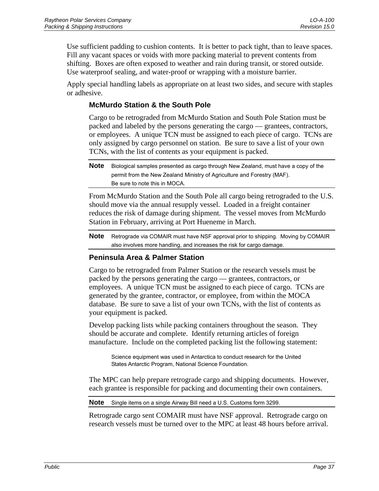<span id="page-42-0"></span>Use sufficient padding to cushion contents. It is better to pack tight, than to leave spaces. Fill any vacant spaces or voids with more packing material to prevent contents from shifting. Boxes are often exposed to weather and rain during transit, or stored outside. Use waterproof sealing, and water-proof or wrapping with a moisture barrier.

Apply special handling labels as appropriate on at least two sides, and secure with staples or adhesive.

### **McMurdo Station & the South Pole**

Cargo to be retrograded from McMurdo Station and South Pole Station must be packed and labeled by the persons generating the cargo — grantees, contractors, or employees. A unique TCN must be assigned to each piece of cargo. TCNs are only assigned by cargo personnel on station. Be sure to save a list of your own TCNs, with the list of contents as your equipment is packed.

From McMurdo Station and the South Pole all cargo being retrograded to the U.S. should move via the annual resupply vessel. Loaded in a freight container reduces the risk of damage during shipment. The vessel moves from McMurdo Station in February, arriving at Port Hueneme in March.

**Note** Retrograde via COMAIR must have NSF approval prior to shipping. Moving by COMAIR also involves more handling, and increases the risk for cargo damage.

### **Peninsula Area & Palmer Station**

Cargo to be retrograded from Palmer Station or the research vessels must be packed by the persons generating the cargo — grantees, contractors, or employees. A unique TCN must be assigned to each piece of cargo. TCNs are generated by the grantee, contractor, or employee, from within the MOCA database. Be sure to save a list of your own TCNs, with the list of contents as your equipment is packed.

Develop packing lists while packing containers throughout the season. They should be accurate and complete. Identify returning articles of foreign manufacture. Include on the completed packing list the following statement:

Science equipment was used in Antarctica to conduct research for the United States Antarctic Program, National Science Foundation.

The MPC can help prepare retrograde cargo and shipping documents. However, each grantee is responsible for packing and documenting their own containers.

**Note** Single items on a single Airway Bill need a U.S. Customs form 3299.

Retrograde cargo sent COMAIR must have NSF approval. Retrograde cargo on research vessels must be turned over to the MPC at least 48 hours before arrival.

**Note** Biological samples presented as cargo through New Zealand, must have a copy of the permit from the New Zealand Ministry of Agriculture and Forestry (MAF). Be sure to note this in MOCA.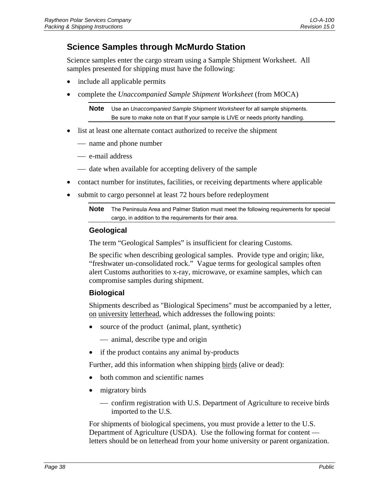## <span id="page-43-0"></span>**Science Samples through McMurdo Station**

Science samples enter the cargo stream using a Sample Shipment Worksheet. All samples presented for shipping must have the following:

- include all applicable permits
- complete the *Unaccompanied Sample Shipment Worksheet* (from MOCA)

**Note** Use an *Unaccompanied Sample Shipment Worksheet* for all sample shipments. Be sure to make note on that If your sample is LIVE or needs priority handling.

- list at least one alternate contact authorized to receive the shipment
	- name and phone number
	- e-mail address
	- date when available for accepting delivery of the sample
- contact number for institutes, facilities, or receiving departments where applicable
- submit to cargo personnel at least 72 hours before redeployment

**Note** The Peninsula Area and Palmer Station must meet the following requirements for special cargo, in addition to the requirements for their area.

### **Geological**

The term "Geological Samples" is insufficient for clearing Customs.

Be specific when describing geological samples. Provide type and origin; like, "freshwater un-consolidated rock." Vague terms for geological samples often alert Customs authorities to x-ray, microwave, or examine samples, which can compromise samples during shipment.

### **Biological**

Shipments described as "Biological Specimens" must be accompanied by a letter, on university letterhead, which addresses the following points:

- source of the product (animal, plant, synthetic)
	- animal, describe type and origin
- if the product contains any animal by-products

Further, add this information when shipping birds (alive or dead):

- both common and scientific names
- migratory birds
	- confirm registration with U.S. Department of Agriculture to receive birds imported to the U.S.

For shipments of biological specimens, you must provide a letter to the U.S. Department of Agriculture (USDA). Use the following format for content letters should be on letterhead from your home university or parent organization.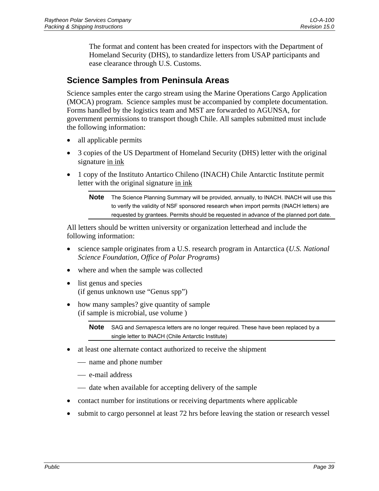<span id="page-44-0"></span>The format and content has been created for inspectors with the Department of Homeland Security (DHS), to standardize letters from USAP participants and ease clearance through U.S. Customs.

### **Science Samples from Peninsula Areas**

Science samples enter the cargo stream using the Marine Operations Cargo Application (MOCA) program. Science samples must be accompanied by complete documentation. Forms handled by the logistics team and MST are forwarded to AGUNSA, for government permissions to transport though Chile. All samples submitted must include the following information:

- all applicable permits
- 3 copies of the US Department of Homeland Security (DHS) letter with the original signature in ink
- 1 copy of the Instituto Antartico Chileno (INACH) Chile Antarctic Institute permit letter with the original signature in ink

All letters should be written university or organization letterhead and include the following information:

- science sample originates from a U.S. research program in Antarctica (*U.S. National Science Foundation, Office of Polar Programs*)
- where and when the sample was collected
- list genus and species (if genus unknown use "Genus spp")
- how many samples? give quantity of sample (if sample is microbial, use volume )

**Note** SAG and *Sernapesca* letters are no longer required. These have been replaced by a single letter to INACH (Chile Antarctic Institute)

- at least one alternate contact authorized to receive the shipment
	- name and phone number
	- e-mail address
	- date when available for accepting delivery of the sample
- contact number for institutions or receiving departments where applicable
- submit to cargo personnel at least 72 hrs before leaving the station or research vessel

**Note** The Science Planning Summary will be provided, annually, to INACH. INACH will use this to verify the validity of NSF sponsored research when import permits (INACH letters) are requested by grantees. Permits should be requested in advance of the planned port date.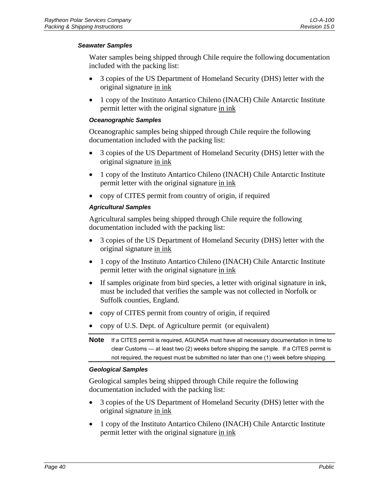### *Seawater Samples*

Water samples being shipped through Chile require the following documentation included with the packing list:

- 3 copies of the US Department of Homeland Security (DHS) letter with the original signature in ink
- 1 copy of the Instituto Antartico Chileno (INACH) Chile Antarctic Institute permit letter with the original signature in ink

### *Oceanographic Samples*

Oceanographic samples being shipped through Chile require the following documentation included with the packing list:

- 3 copies of the US Department of Homeland Security (DHS) letter with the original signature in ink
- 1 copy of the Instituto Antartico Chileno (INACH) Chile Antarctic Institute permit letter with the original signature in ink
- copy of CITES permit from country of origin, if required

### *Agricultural Samples*

Agricultural samples being shipped through Chile require the following documentation included with the packing list:

- 3 copies of the US Department of Homeland Security (DHS) letter with the original signature in ink
- 1 copy of the Instituto Antartico Chileno (INACH) Chile Antarctic Institute permit letter with the original signature in ink
- If samples originate from bird species, a letter with original signature in ink, must be included that verifies the sample was not collected in Norfolk or Suffolk counties, England.
- copy of CITES permit from country of origin, if required
- copy of U.S. Dept. of Agriculture permit (or equivalent)

**Note** If a CITES permit is required, AGUNSA must have all necessary documentation in time to clear Customs — at least two (2) weeks before shipping the sample. If a CITES permit is not required, the request must be submitted no later than one (1) week before shipping.

### *Geological Samples*

Geological samples being shipped through Chile require the following documentation included with the packing list:

- 3 copies of the US Department of Homeland Security (DHS) letter with the original signature in ink
- 1 copy of the Instituto Antartico Chileno (INACH) Chile Antarctic Institute permit letter with the original signature in ink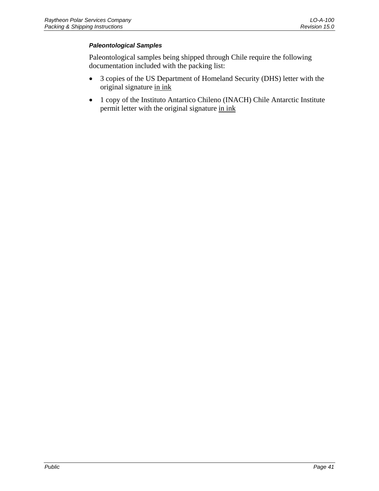### *Paleontological Samples*

Paleontological samples being shipped through Chile require the following documentation included with the packing list:

- 3 copies of the US Department of Homeland Security (DHS) letter with the original signature in ink
- 1 copy of the Instituto Antartico Chileno (INACH) Chile Antarctic Institute permit letter with the original signature in ink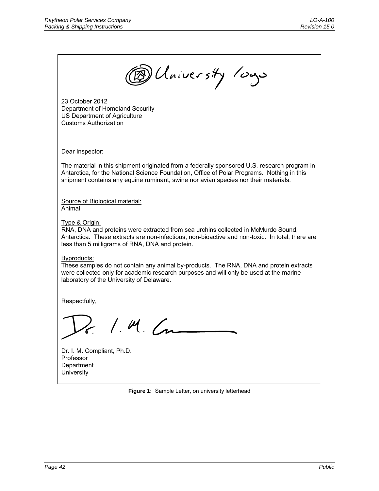<span id="page-47-0"></span>

**Figure 1:** Sample Letter, on university letterhead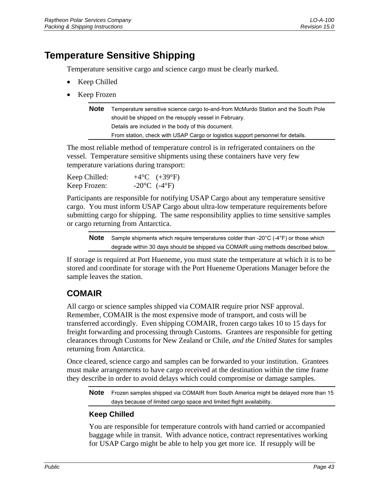# <span id="page-48-0"></span>**Temperature Sensitive Shipping**

Temperature sensitive cargo and science cargo must be clearly marked.

- Keep Chilled
- Keep Frozen

| <b>Note</b> | Temperature sensitive science cargo to-and-from McMurdo Station and the South Pole |
|-------------|------------------------------------------------------------------------------------|
|             | should be shipped on the resupply vessel in February.                              |
|             | Details are included in the body of this document.                                 |
|             | From station, check with USAP Cargo or logistics support personnel for details.    |
|             |                                                                                    |

The most reliable method of temperature control is in refrigerated containers on the vessel. Temperature sensitive shipments using these containers have very few temperature variations during transport:

| Keep Chilled: | $+4$ °C $(+39$ °F)              |
|---------------|---------------------------------|
| Keep Frozen:  | $-20^{\circ}$ C $(-4^{\circ}F)$ |

Participants are responsible for notifying USAP Cargo about any temperature sensitive cargo. You must inform USAP Cargo about ultra-low temperature requirements before submitting cargo for shipping. The same responsibility applies to time sensitive samples or cargo returning from Antarctica.

**Note** Sample shipments which require temperatures colder than -20°C (-4°F) or those which degrade within 30 days should be shipped via COMAIR using methods described below.

If storage is required at Port Hueneme, you must state the temperature at which it is to be stored and coordinate for storage with the Port Hueneme Operations Manager before the sample leaves the station.

### **COMAIR**

All cargo or science samples shipped via COMAIR require prior NSF approval. Remember, COMAIR is the most expensive mode of transport, and costs will be transferred accordingly. Even shipping COMAIR, frozen cargo takes 10 to 15 days for freight forwarding and processing through Customs. Grantees are responsible for getting clearances through Customs for New Zealand or Chile, *and the United States* for samples returning from Antarctica.

Once cleared, science cargo and samples can be forwarded to your institution. Grantees must make arrangements to have cargo received at the destination within the time frame they describe in order to avoid delays which could compromise or damage samples.

**Note** Frozen samples shipped via COMAIR from South America might be delayed more than 15 days because of limited cargo space and limited flight availability.

### **Keep Chilled**

You are responsible for temperature controls with hand carried or accompanied baggage while in transit. With advance notice, contract representatives working for USAP Cargo might be able to help you get more ice. If resupply will be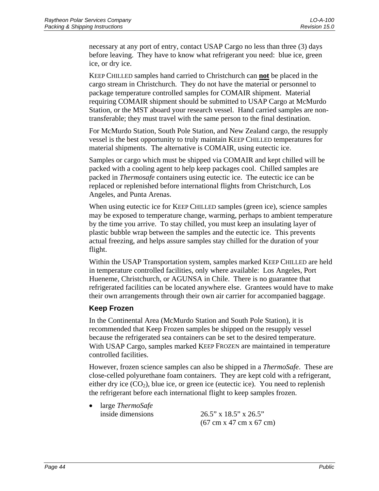<span id="page-49-0"></span>necessary at any port of entry, contact USAP Cargo no less than three (3) days before leaving. They have to know what refrigerant you need: blue ice, green ice, or dry ice.

KEEP CHILLED samples hand carried to Christchurch can **not** be placed in the cargo stream in Christchurch. They do not have the material or personnel to package temperature controlled samples for COMAIR shipment. Material requiring COMAIR shipment should be submitted to USAP Cargo at McMurdo Station, or the MST aboard your research vessel. Hand carried samples are nontransferable; they must travel with the same person to the final destination.

For McMurdo Station, South Pole Station, and New Zealand cargo, the resupply vessel is the best opportunity to truly maintain KEEP CHILLED temperatures for material shipments. The alternative is COMAIR, using eutectic ice.

Samples or cargo which must be shipped via COMAIR and kept chilled will be packed with a cooling agent to help keep packages cool. Chilled samples are packed in *Thermosafe* containers using eutectic ice. The eutectic ice can be replaced or replenished before international flights from Christchurch, Los Angeles, and Punta Arenas.

When using eutectic ice for KEEP CHILLED samples (green ice), science samples may be exposed to temperature change, warming, perhaps to ambient temperature by the time you arrive. To stay chilled, you must keep an insulating layer of plastic bubble wrap between the samples and the eutectic ice. This prevents actual freezing, and helps assure samples stay chilled for the duration of your flight.

Within the USAP Transportation system, samples marked KEEP CHILLED are held in temperature controlled facilities, only where available: Los Angeles, Port Hueneme, Christchurch, or AGUNSA in Chile. There is no guarantee that refrigerated facilities can be located anywhere else. Grantees would have to make their own arrangements through their own air carrier for accompanied baggage.

### **Keep Frozen**

In the Continental Area (McMurdo Station and South Pole Station), it is recommended that Keep Frozen samples be shipped on the resupply vessel because the refrigerated sea containers can be set to the desired temperature. With USAP Cargo, samples marked KEEP FROZEN are maintained in temperature controlled facilities.

However, frozen science samples can also be shipped in a *ThermoSafe*. These are close-celled polyurethane foam containers. They are kept cold with a refrigerant, either dry ice  $(CO<sub>2</sub>)$ , blue ice, or green ice (eutectic ice). You need to replenish the refrigerant before each international flight to keep samples frozen.

• large *ThermoSafe*

inside dimensions 26.5" x 18.5" x 26.5" (67 cm x 47 cm x 67 cm)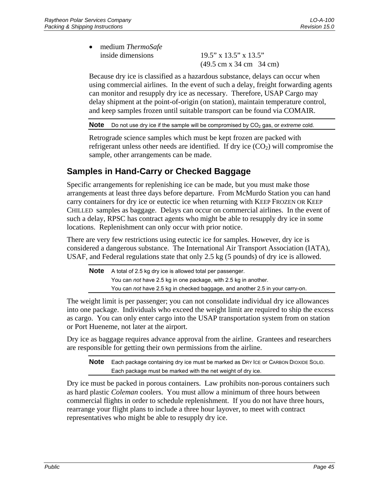<span id="page-50-0"></span>• medium *ThermoSafe* inside dimensions 19.5" x 13.5" x 13.5"

(49.5 cm x 34 cm 34 cm)

Because dry ice is classified as a hazardous substance, delays can occur when using commercial airlines. In the event of such a delay, freight forwarding agents can monitor and resupply dry ice as necessary. Therefore, USAP Cargo may delay shipment at the point-of-origin (on station), maintain temperature control, and keep samples frozen until suitable transport can be found via COMAIR.

**Note** Do not use dry ice if the sample will be compromised by CO<sub>2</sub> gas, or *extreme* cold.

Retrograde science samples which must be kept frozen are packed with refrigerant unless other needs are identified. If dry ice  $(CO<sub>2</sub>)$  will compromise the sample, other arrangements can be made.

# **Samples in Hand-Carry or Checked Baggage**

Specific arrangements for replenishing ice can be made, but you must make those arrangements at least three days before departure. From McMurdo Station you can hand carry containers for dry ice or eutectic ice when returning with KEEP FROZEN OR KEEP CHILLED samples as baggage. Delays can occur on commercial airlines. In the event of such a delay, RPSC has contract agents who might be able to resupply dry ice in some locations. Replenishment can only occur with prior notice.

There are very few restrictions using eutectic ice for samples. However, dry ice is considered a dangerous substance. The International Air Transport Association (IATA), USAF, and Federal regulations state that only 2.5 kg (5 pounds) of dry ice is allowed.

**Note** A total of 2.5 kg dry ice is allowed total per passenger. You can *not* have 2.5 kg in one package, with 2.5 kg in another. You can *not* have 2.5 kg in checked baggage, and another 2.5 in your carry-on.

The weight limit is per passenger; you can not consolidate individual dry ice allowances into one package. Individuals who exceed the weight limit are required to ship the excess as cargo. You can only enter cargo into the USAP transportation system from on station or Port Hueneme, not later at the airport.

Dry ice as baggage requires advance approval from the airline. Grantees and researchers are responsible for getting their own permissions from the airline.

**Note** Each package containing dry ice must be marked as DRY ICE or CARBON DIOXIDE SOLID. Each package must be marked with the net weight of dry ice.

Dry ice must be packed in porous containers. Law prohibits non-porous containers such as hard plastic *Coleman* coolers. You must allow a minimum of three hours between commercial flights in order to schedule replenishment. If you do not have three hours, rearrange your flight plans to include a three hour layover, to meet with contract representatives who might be able to resupply dry ice.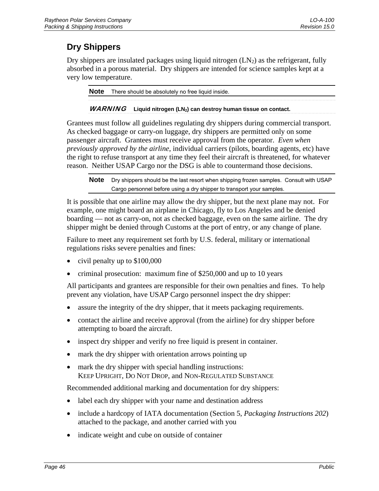# <span id="page-51-0"></span>**Dry Shippers**

Dry shippers are insulated packages using liquid nitrogen  $(LN_2)$  as the refrigerant, fully absorbed in a porous material. Dry shippers are intended for science samples kept at a very low temperature.

**Note** There should be absolutely no free liquid inside.

### WARNING Liquid nitrogen (LN<sub>2</sub>) can destroy human tissue on contact.

Grantees must follow all guidelines regulating dry shippers during commercial transport. As checked baggage or carry-on luggage, dry shippers are permitted only on some passenger aircraft. Grantees must receive approval from the operator. *Even when previously approved by the airline*, individual carriers (pilots, boarding agents, etc) have the right to refuse transport at any time they feel their aircraft is threatened, for whatever reason. Neither USAP Cargo nor the DSG is able to countermand those decisions.

**Note** Dry shippers should be the last resort when shipping frozen samples. Consult with USAP Cargo personnel before using a dry shipper to transport your samples.

It is possible that one airline may allow the dry shipper, but the next plane may not. For example, one might board an airplane in Chicago, fly to Los Angeles and be denied boarding — not as carry-on, not as checked baggage, even on the same airline. The dry shipper might be denied through Customs at the port of entry, or any change of plane.

Failure to meet any requirement set forth by U.S. federal, military or international regulations risks severe penalties and fines:

- civil penalty up to \$100,000
- criminal prosecution: maximum fine of \$250,000 and up to 10 years

All participants and grantees are responsible for their own penalties and fines. To help prevent any violation, have USAP Cargo personnel inspect the dry shipper:

- assure the integrity of the dry shipper, that it meets packaging requirements.
- contact the airline and receive approval (from the airline) for dry shipper before attempting to board the aircraft.
- inspect dry shipper and verify no free liquid is present in container.
- mark the dry shipper with orientation arrows pointing up
- mark the dry shipper with special handling instructions: KEEP UPRIGHT, DO NOT DROP, and NON-REGULATED SUBSTANCE

Recommended additional marking and documentation for dry shippers:

- label each dry shipper with your name and destination address
- include a hardcopy of IATA documentation (Section 5, *Packaging Instructions 202*) attached to the package, and another carried with you
- indicate weight and cube on outside of container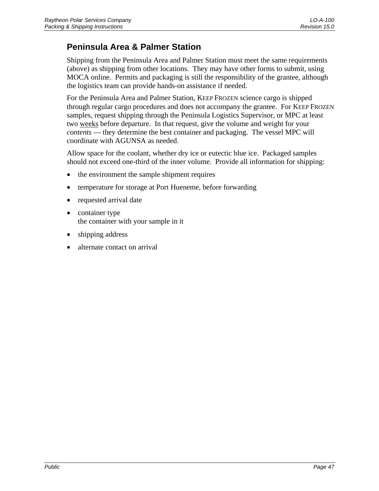# <span id="page-52-0"></span>**Peninsula Area & Palmer Station**

Shipping from the Peninsula Area and Palmer Station must meet the same requirements (above) as shipping from other locations. They may have other forms to submit, using MOCA online. Permits and packaging is still the responsibility of the grantee, although the logistics team can provide hands-on assistance if needed.

For the Peninsula Area and Palmer Station, KEEP FROZEN science cargo is shipped through regular cargo procedures and does not accompany the grantee. For KEEP FROZEN samples, request shipping through the Peninsula Logistics Supervisor, or MPC at least two weeks before departure. In that request, give the volume and weight for your *contents* — they determine the best container and packaging. The vessel MPC will coordinate with AGUNSA as needed.

Allow space for the coolant, whether dry ice or eutectic blue ice. Packaged samples should not exceed one-third of the inner volume. Provide all information for shipping:

- the environment the sample shipment requires
- temperature for storage at Port Hueneme, before forwarding
- requested arrival date
- container type the container with your sample in it
- shipping address
- alternate contact on arrival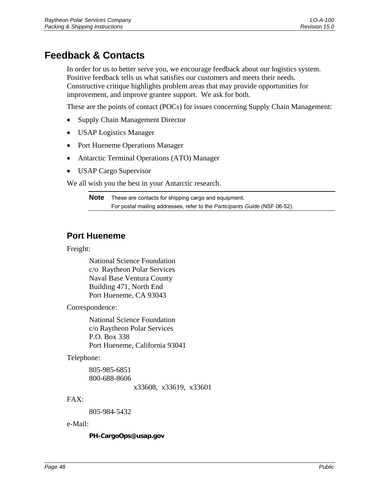# <span id="page-53-0"></span>**Feedback & Contacts**

In order for us to better serve you, we encourage feedback about our logistics system. Positive feedback tells us what satisfies our customers and meets their needs. Constructive critique highlights problem areas that may provide opportunities for improvement, and improve grantee support. We ask for both.

These are the points of contact (POCs) for issues concerning Supply Chain Management:

- Supply Chain Management Director
- USAP Logistics Manager
- Port Hueneme Operations Manager
- Antarctic Terminal Operations (ATO) Manager
- USAP Cargo Supervisor

We all wish you the best in your Antarctic research.

**Note** These are contacts for shipping cargo and equipment. For postal mailing addresses, refer to the *Participants Guide* (NSF 06-52).

### **Port Hueneme**

Freight:

National Science Foundation c/o Raytheon Polar Services Naval Base Ventura County Building 471, North End Port Hueneme, CA 93043

Correspondence:

National Science Foundation c/o Raytheon Polar Services P.O. Box 338 Port Hueneme, California 93041

Telephone:

805-985-6851 800-688-8606

x33608, x33619, x33601

### FAX:

805-984-5432

### e-Mail:

### **PH-CargoOps@usap.gov**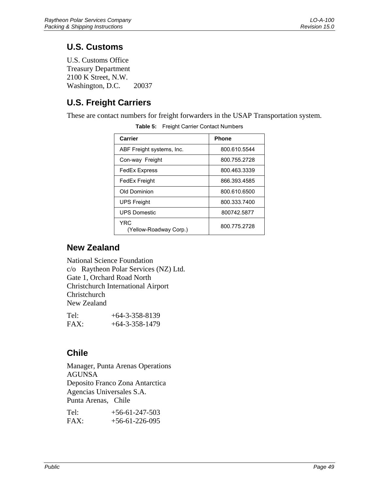# <span id="page-54-0"></span>**U.S. Customs**

U.S. Customs Office Treasury Department 2100 K Street, N.W. Washington, D.C. 20037

# **U.S. Freight Carriers**

These are contact numbers for freight forwarders in the USAP Transportation system.

| Carrier                        | <b>Phone</b> |
|--------------------------------|--------------|
| ABF Freight systems, Inc.      | 800.610.5544 |
| Con-way Freight                | 800.755.2728 |
| <b>FedEx Express</b>           | 800.463.3339 |
| FedEx Freight                  | 866.393.4585 |
| Old Dominion                   | 800.610.6500 |
| <b>UPS Freight</b>             | 800.333.7400 |
| <b>UPS Domestic</b>            | 800742.5877  |
| YRC.<br>(Yellow-Roadway Corp.) | 800.775.2728 |

**Table 5:** Freight Carrier Contact Numbers

## **New Zealand**

National Science Foundation c/o Raytheon Polar Services (NZ) Ltd. Gate 1, Orchard Road North Christchurch International Airport **Christchurch** New Zealand

| Tel: | $+64-3-358-8139$ |
|------|------------------|
| FAX: | $+64-3-358-1479$ |

## **Chile**

Manager, Punta Arenas Operations AGUNSA Deposito Franco Zona Antarctica Agencias Universales S.A. Punta Arenas, Chile

| Tel: | $+56-61-247-503$ |
|------|------------------|
| FAX: | $+56-61-226-095$ |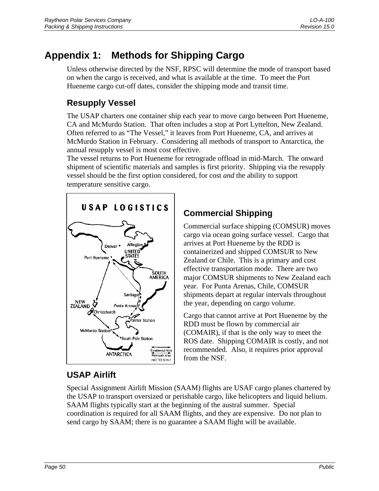# <span id="page-55-0"></span>**Appendix 1: Methods for Shipping Cargo**

Unless otherwise directed by the NSF, RPSC will determine the mode of transport based on when the cargo is received, and what is available at the time. To meet the Port Hueneme cargo cut-off dates, consider the shipping mode and transit time.

# **Resupply Vessel**

The USAP charters one container ship each year to move cargo between Port Hueneme, CA and McMurdo Station. That often includes a stop at Port Lyttelton, New Zealand. Often referred to as "The Vessel," it leaves from Port Hueneme, CA, and arrives at McMurdo Station in February. Considering all methods of transport to Antarctica, the annual resupply vessel is most cost effective.

The vessel returns to Port Hueneme for retrograde offload in mid-March. The onward shipment of scientific materials and samples is first priority. Shipping via the resupply vessel should be the first option considered, for cost *and* the ability to support temperature sensitive cargo.



# **Commercial Shipping**

Commercial surface shipping (COMSUR) moves cargo via ocean going surface vessel. Cargo that arrives at Port Hueneme by the RDD is containerized and shipped COMSUR to New Zealand or Chile. This is a primary and cost effective transportation mode. There are two major COMSUR shipments to New Zealand each year. For Punta Arenas, Chile, COMSUR shipments depart at regular intervals throughout the year, depending on cargo volume.

Cargo that cannot arrive at Port Hueneme by the RDD must be flown by commercial air (COMAIR), if that is the only way to meet the ROS date. Shipping COMAIR is costly, and not recommended. Also, it requires prior approval from the NSF.

# **USAP Airlift**

Special Assignment Airlift Mission (SAAM) flights are USAF cargo planes chartered by the USAP to transport oversized or perishable cargo, like helicopters and liquid helium. SAAM flights typically start at the beginning of the austral summer. Special coordination is required for all SAAM flights, and they are expensive. Do not plan to send cargo by SAAM; there is no guarantee a SAAM flight will be available.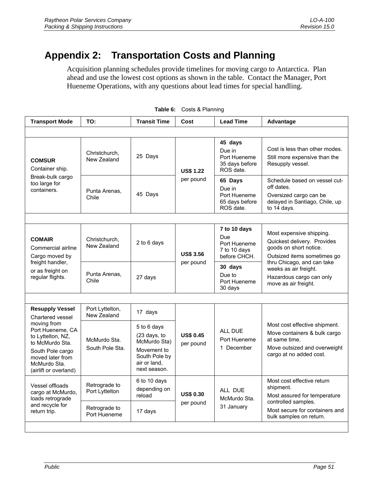# <span id="page-56-0"></span>**Appendix 2: Transportation Costs and Planning**

Acquisition planning schedules provide timelines for moving cargo to Antarctica. Plan ahead and use the lowest cost options as shown in the table. Contact the Manager, Port Hueneme Operations, with any questions about lead times for special handling.

| <b>Transport Mode</b>                                                                                                                                                                                  | TO:                               | <b>Transit Time</b>                                                                                         | Cost                          | <b>Lead Time</b>                                                 | Advantage                                                                                                                                 |                                                                                                                        |
|--------------------------------------------------------------------------------------------------------------------------------------------------------------------------------------------------------|-----------------------------------|-------------------------------------------------------------------------------------------------------------|-------------------------------|------------------------------------------------------------------|-------------------------------------------------------------------------------------------------------------------------------------------|------------------------------------------------------------------------------------------------------------------------|
|                                                                                                                                                                                                        |                                   |                                                                                                             |                               |                                                                  |                                                                                                                                           |                                                                                                                        |
| <b>COMSUR</b><br>Container ship.<br>Break-bulk cargo<br>too large for<br>containers.                                                                                                                   | Christchurch,<br>New Zealand      | 25 Days                                                                                                     | <b>US\$ 1.22</b><br>per pound | 45 days<br>Due in<br>Port Hueneme<br>35 days before<br>ROS date. | Cost is less than other modes.<br>Still more expensive than the<br>Resupply vessel.                                                       |                                                                                                                        |
|                                                                                                                                                                                                        | Punta Arenas.<br>Chile            | 45 Days                                                                                                     |                               | 65 Days<br>Due in<br>Port Hueneme<br>65 days before<br>ROS date. |                                                                                                                                           | Schedule based on vessel cut-<br>off dates.<br>Oversized cargo can be<br>delayed in Santiago, Chile, up<br>to 14 days. |
|                                                                                                                                                                                                        |                                   |                                                                                                             |                               |                                                                  |                                                                                                                                           |                                                                                                                        |
| <b>COMAIR</b><br>Commercial airline<br>Cargo moved by<br>freight handler,<br>or as freight on<br>regular flights.                                                                                      | Christchurch.<br>New Zealand      | 2 to 6 days                                                                                                 | <b>US\$ 3.56</b><br>per pound |                                                                  | 7 to 10 days<br>Due<br>Port Hueneme<br>7 to 10 days<br>before CHCH.                                                                       | Most expensive shipping.<br>Quickest delivery. Provides<br>goods on short notice.<br>Outsized items sometimes go       |
|                                                                                                                                                                                                        | Punta Arenas.<br>27 days<br>Chile |                                                                                                             |                               | 30 days                                                          | thru Chicago, and can take<br>weeks as air freight.                                                                                       |                                                                                                                        |
|                                                                                                                                                                                                        |                                   |                                                                                                             |                               | Due to<br>Port Hueneme<br>30 days                                | Hazardous cargo can only<br>move as air freight.                                                                                          |                                                                                                                        |
|                                                                                                                                                                                                        |                                   |                                                                                                             |                               |                                                                  |                                                                                                                                           |                                                                                                                        |
| <b>Resupply Vessel</b><br>Chartered vessel<br>moving from<br>Port Hueneme, CA<br>to Lyttelton, NZ.<br>to McMurdo Sta.<br>South Pole cargo<br>moved later from<br>McMurdo Sta.<br>(airlift or overland) | Port Lyttelton,<br>New Zealand    | 17 days                                                                                                     | <b>US\$ 0.45</b><br>per pound |                                                                  | Most cost effective shipment.<br>Move containers & bulk cargo<br>at same time.<br>Move outsized and overweight<br>cargo at no added cost. |                                                                                                                        |
|                                                                                                                                                                                                        | McMurdo Sta.<br>South Pole Sta.   | 5 to 6 days<br>(23 days, to<br>McMurdo Sta)<br>Movement to<br>South Pole by<br>air or land.<br>next season. |                               | ALL DUF<br>Port Hueneme<br>1 December                            |                                                                                                                                           |                                                                                                                        |
| Vessel offloads<br>cargo at McMurdo,<br>loads retrograde<br>and recycle for<br>return trip.                                                                                                            | Retrograde to<br>Port Lyttelton   | 6 to 10 days<br>depending on<br>reload                                                                      | <b>US\$ 0.30</b><br>per pound | ALL DUE                                                          | Most cost effective return<br>shipment.<br>Most assured for temperature                                                                   |                                                                                                                        |
|                                                                                                                                                                                                        | Retrograde to<br>Port Hueneme     | 17 days                                                                                                     |                               | McMurdo Sta.<br>31 January                                       | controlled samples.<br>Most secure for containers and<br>bulk samples on return.                                                          |                                                                                                                        |
|                                                                                                                                                                                                        |                                   |                                                                                                             |                               |                                                                  |                                                                                                                                           |                                                                                                                        |

**Table 6:** Costs & Planning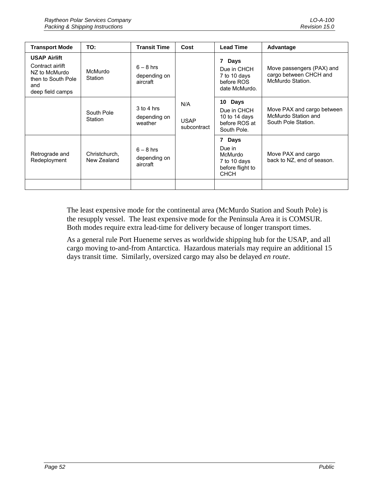| <b>Transport Mode</b>                                                                                     | TO:                          | <b>Transit Time</b>                     | Cost                              | <b>Lead Time</b>                                                               | Advantage                                                               |
|-----------------------------------------------------------------------------------------------------------|------------------------------|-----------------------------------------|-----------------------------------|--------------------------------------------------------------------------------|-------------------------------------------------------------------------|
| <b>USAP Airlift</b><br>Contract airlift<br>NZ to McMurdo<br>then to South Pole<br>and<br>deep field camps | McMurdo<br>Station           | $6 - 8$ hrs<br>depending on<br>aircraft | N/A<br><b>USAP</b><br>subcontract | 7 Days<br>Due in CHCH<br>7 to 10 days<br>before ROS<br>date McMurdo.           | Move passengers (PAX) and<br>cargo between CHCH and<br>McMurdo Station. |
|                                                                                                           | South Pole<br>Station        | $3$ to 4 hrs<br>depending on<br>weather |                                   |                                                                                | 10 Days<br>Due in CHCH<br>10 to 14 days<br>before ROS at<br>South Pole. |
| Retrograde and<br>Redeployment                                                                            | Christchurch.<br>New Zealand | $6 - 8$ hrs<br>depending on<br>aircraft |                                   | 7 Days<br>Due in<br>McMurdo<br>7 to 10 days<br>before flight to<br><b>CHCH</b> | Move PAX and cargo<br>back to NZ, end of season.                        |
|                                                                                                           |                              |                                         |                                   |                                                                                |                                                                         |

The least expensive mode for the continental area (McMurdo Station and South Pole) is the resupply vessel. The least expensive mode for the Peninsula Area it is COMSUR. Both modes require extra lead-time for delivery because of longer transport times.

As a general rule Port Hueneme serves as worldwide shipping hub for the USAP, and all cargo moving to-and-from Antarctica. Hazardous materials may require an additional 15 days transit time. Similarly, oversized cargo may also be delayed *en route*.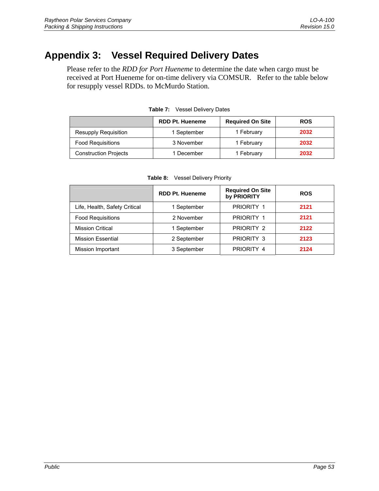# <span id="page-58-0"></span>**Appendix 3: Vessel Required Delivery Dates**

Please refer to the *RDD for Port Hueneme* to determine the date when cargo must be received at Port Hueneme for on-time delivery via COMSUR. Refer to the table below for resupply vessel RDDs. to McMurdo Station.

|                              | <b>RDD Pt. Hueneme</b> | <b>Required On Site</b> | <b>ROS</b> |
|------------------------------|------------------------|-------------------------|------------|
| <b>Resupply Requisition</b>  | 1 September            | 1 February              | 2032       |
| <b>Food Requisitions</b>     | 3 November             | 1 February              | 2032       |
| <b>Construction Projects</b> | 1 December             | 1 February              | 2032       |

**Table 7:** Vessel Delivery Dates

|                               | <b>RDD Pt. Hueneme</b> | <b>Required On Site</b><br>by PRIORITY | <b>ROS</b> |
|-------------------------------|------------------------|----------------------------------------|------------|
| Life, Health, Safety Critical | 1 September            | PRIORITY 1                             | 2121       |
| <b>Food Requisitions</b>      | 2 November             | PRIORITY 1                             | 2121       |
| <b>Mission Critical</b>       | 1 September            | PRIORITY 2                             | 2122       |
| <b>Mission Essential</b>      | 2 September            | PRIORITY 3                             | 2123       |
| Mission Important             | 3 September            | PRIORITY 4                             | 2124       |

**Table 8:** Vessel Delivery Priority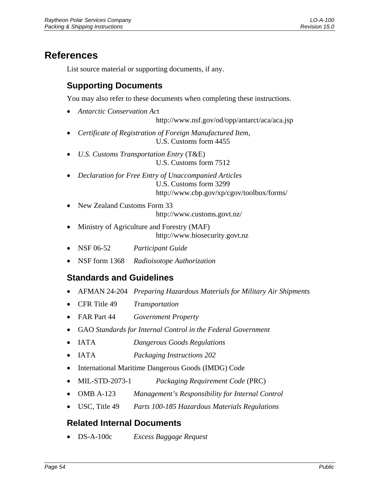# <span id="page-59-0"></span>**References**

List source material or supporting documents, if any.

## **Supporting Documents**

You may also refer to these documents when completing these instructions.

- *Antarctic Conservation Ac*t
	- http://www.nsf.gov/od/opp/antarct/aca/aca.jsp
- *Certificate of Registration of Foreign Manufactured Item*, U.S. Customs form 4455
- *U.S. Customs Transportation Entry* (T&E) U.S. Customs form 7512
- *Declaration for Free Entry of Unaccompanied Articles* U.S. Customs form 3299 http://www.cbp.gov/xp/cgov/toolbox/forms/
- New Zealand Customs Form 33

http://www.customs.govt.nz/

- Ministry of Agriculture and Forestry (MAF) http://www.biosecurity.govt.nz
- NSF 06-52 *Participant Guide*
- NSF form 1368 *Radioisotope Authorization*

## **Standards and Guidelines**

- AFMAN 24-204 *Preparing Hazardous Materials for Military Air Shipments*
- CFR Title 49 *Transportation*
- FAR Part 44 *Government Property*
- GAO *Standards for Internal Control in the Federal Government*
- IATA *Dangerous Goods Regulations*
- IATA *Packaging Instructions 202*
- International Maritime Dangerous Goods (IMDG) Code
- MIL-STD-2073-1 *Packaging Requirement Code* (PRC)
- OMB A-123 *Management's Responsibility for Internal Control*
- USC, Title 49 *Parts 100-185 Hazardous Materials Regulations*

### **Related Internal Documents**

• DS-A-100c *Excess Baggage Request*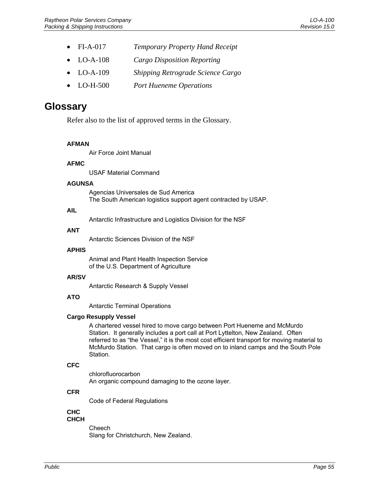- <span id="page-60-0"></span>• FI-A-017 *Temporary Property Hand Receipt*
- LO-A-108 *Cargo Disposition Reporting*
- LO-A-109 *Shipping Retrograde Science Cargo*
- LO-H-500 *Port Hueneme Operations*

# **Glossary**

Refer also to the list of approved terms in the Glossary.

### **AFMAN**

Air Force Joint Manual

### **AFMC**

USAF Material Command

### **AGUNSA**

Agencias Universales de Sud America The South American logistics support agent contracted by USAP.

### **AIL**

Antarctic Infrastructure and Logistics Division for the NSF

#### **ANT**

Antarctic Sciences Division of the NSF

#### **APHIS**

Animal and Plant Health Inspection Service of the U.S. Department of Agriculture

#### **AR/SV**

Antarctic Research & Supply Vessel

### **ATO**

Antarctic Terminal Operations

### **Cargo Resupply Vessel**

A chartered vessel hired to move cargo between Port Hueneme and McMurdo Station. It generally includes a port call at Port Lyttelton, New Zealand. Often referred to as "the Vessel," it is the most cost efficient transport for moving material to McMurdo Station. That cargo is often moved on to inland camps and the South Pole Station.

### **CFC**

chlorofluorocarbon An organic compound damaging to the ozone layer.

### **CFR**

Code of Federal Regulations

### **CHC**

### **CHCH**

Cheech Slang for Christchurch, New Zealand.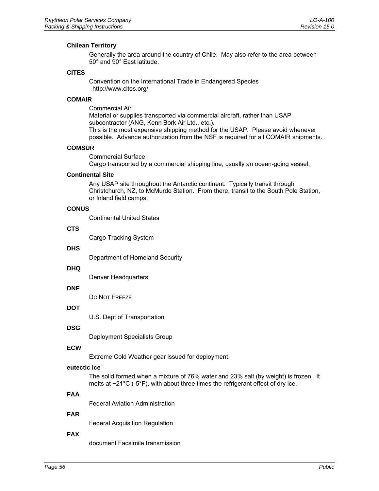#### **Chilean Territory**

Generally the area around the country of Chile. May also refer to the area between 50° and 90° East latitude.

#### **CITES**

Convention on the International Trade in Endangered Species http://www.cites.org/

#### **COMAIR**

Commercial Air Material or supplies transported via commercial aircraft, rather than USAP subcontractor (ANG, Kenn Bork Air Ltd., etc.). This is the most expensive shipping method for the USAP. Please avoid whenever possible. Advance authorization from the NSF is required for all COMAIR shipments.

#### **COMSUR**

Commercial Surface Cargo transported by a commercial shipping line, usually an ocean-going vessel.

#### **Continental Site**

Any USAP site throughout the Antarctic continent. Typically transit through Christchurch, NZ, to McMurdo Station. From there, transit to the South Pole Station, or Inland field camps.

#### **CONUS**

Continental United States

#### **CTS**

Cargo Tracking System

#### **DHS**

Department of Homeland Security

#### **DHQ**

Denver Headquarters

#### **DNF**

DO NOT FREEZE

#### **DOT**

U.S. Dept of Transportation

### **DSG**

Deployment Specialists Group

#### **ECW**

Extreme Cold Weather gear issued for deployment.

#### **eutectic ice**

The solid formed when a mixture of 76% water and 23% salt (by weight) is frozen. It melts at −21°C (-5°F), with about three times the refrigerant effect of dry ice.

### **FAA**

Federal Aviation Administration

#### **FAR**

Federal Acquisition Regulation

### **FAX**

document Facsimile transmission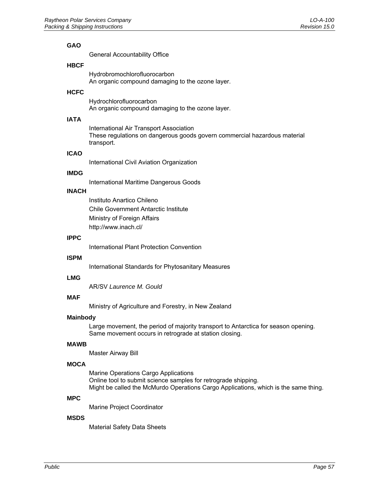#### **GAO**

General Accountability Office

#### **HBCF**

Hydrobromochlorofluorocarbon An organic compound damaging to the ozone layer.

### **HCFC**

Hydrochlorofluorocarbon An organic compound damaging to the ozone layer.

### **IATA**

International Air Transport Association These regulations on dangerous goods govern commercial hazardous material transport.

#### **ICAO**

International Civil Aviation Organization

#### **IMDG**

International Maritime Dangerous Goods

### **INACH**

Instituto Anartico Chileno Chile Government Antarctic Institute Ministry of Foreign Affairs http://www.inach.cl/

#### **IPPC**

International Plant Protection Convention

#### **ISPM**

International Standards for Phytosanitary Measures

#### **LMG**

AR/SV *Laurence M. Gould*

#### **MAF**

Ministry of Agriculture and Forestry, in New Zealand

#### **Mainbody**

Large movement, the period of majority transport to Antarctica for season opening. Same movement occurs in retrograde at station closing.

#### **MAWB**

Master Airway Bill

#### **MOCA**

Marine Operations Cargo Applications Online tool to submit science samples for retrograde shipping. Might be called the McMurdo Operations Cargo Applications, which is the same thing.

#### **MPC**

Marine Project Coordinator

#### **MSDS**

Material Safety Data Sheets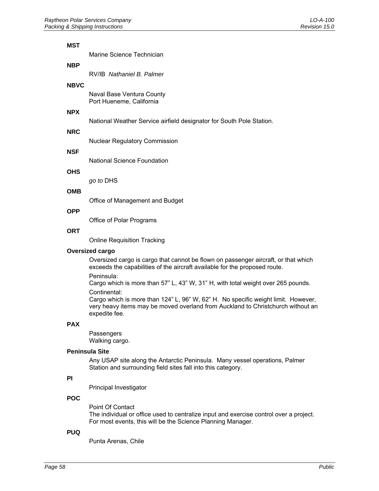#### **MST**

Marine Science Technician

#### **NBP**

RV/IB *Nathaniel B. Palmer*

#### **NBVC**

Naval Base Ventura County Port Hueneme, California

#### **NPX**

National Weather Service airfield designator for South Pole Station.

#### **NRC**

Nuclear Regulatory Commission

#### **NSF**

National Science Foundation

#### **OHS**

*go to* DHS

#### **OMB**

Office of Management and Budget

#### **OPP**

Office of Polar Programs

#### **ORT**

Online Requisition Tracking

#### **Oversized cargo**

Oversized cargo is cargo that cannot be flown on passenger aircraft, or that which exceeds the capabilities of the aircraft available for the proposed route.

Peninsula:

Cargo which is more than 57" L, 43" W, 31" H, with total weight over 265 pounds. Continental:

Cargo which is more than 124" L, 96" W, 62" H. No specific weight limit. However, very heavy items may be moved overland from Auckland to Christchurch without an expedite fee.

#### **PAX**

**Passengers** Walking cargo.

#### **Peninsula Site**

Any USAP site along the Antarctic Peninsula. Many vessel operations, Palmer Station and surrounding field sites fall into this category.

### **PI**

Principal Investigator

### **POC**

Point Of Contact The individual or office used to centralize input and exercise control over a project. For most events, this will be the Science Planning Manager.

#### **PUQ**

Punta Arenas, Chile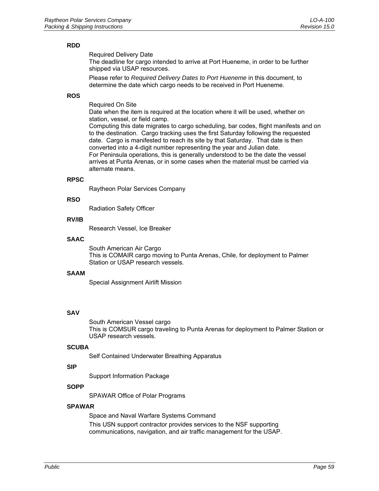#### **RDD**

Required Delivery Date

The deadline for cargo intended to arrive at Port Hueneme, in order to be further shipped via USAP resources.

Please refer to *Required Delivery Dates to Port Hueneme* in this document, to determine the date which cargo needs to be received in Port Hueneme.

### **ROS**

Required On Site

Date when the item is required at the location where it will be used, whether on station, vessel, or field camp.

Computing this date migrates to cargo scheduling, bar codes, flight manifests and on to the destination. Cargo tracking uses the first Saturday following the requested date. Cargo is manifested to reach its site by that Saturday. That date is then converted into a 4-digit number representing the year and Julian date. For Peninsula operations, this is generally understood to be the date the vessel arrives at Punta Arenas, or in some cases when the material must be carried via alternate means.

#### **RPSC**

Raytheon Polar Services Company

#### **RSO**

Radiation Safety Officer

#### **RV/IB**

Research Vessel, Ice Breaker

#### **SAAC**

South American Air Cargo This is COMAIR cargo moving to Punta Arenas, Chile, for deployment to Palmer Station or USAP research vessels.

#### **SAAM**

Special Assignment Airlift Mission

### **SAV**

South American Vessel cargo This is COMSUR cargo traveling to Punta Arenas for deployment to Palmer Station or USAP research vessels.

#### **SCUBA**

Self Contained Underwater Breathing Apparatus

### **SIP**

Support Information Package

### **SOPP**

SPAWAR Office of Polar Programs

#### **SPAWAR**

Space and Naval Warfare Systems Command This USN support contractor provides services to the NSF supporting communications, navigation, and air traffic management for the USAP.